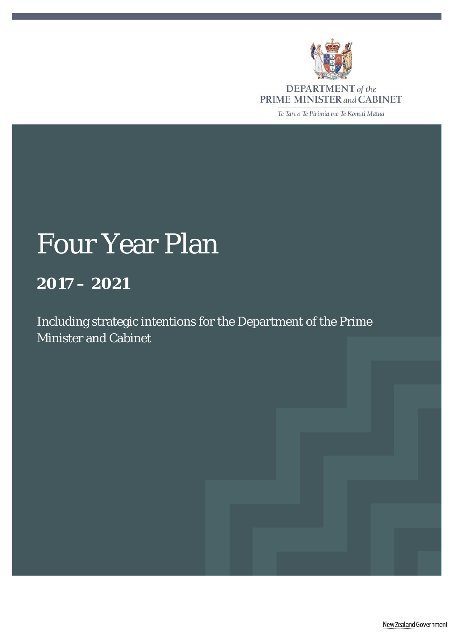

**DEPARTMENT** of the<br>PRIME MINISTER and CABINET

Te Tari o Te Pirimia me Te Komiti Matua

# Four Year Plan

## **2017 – 2021**

Including strategic intentions for the Department of the Prime Minister and Cabinet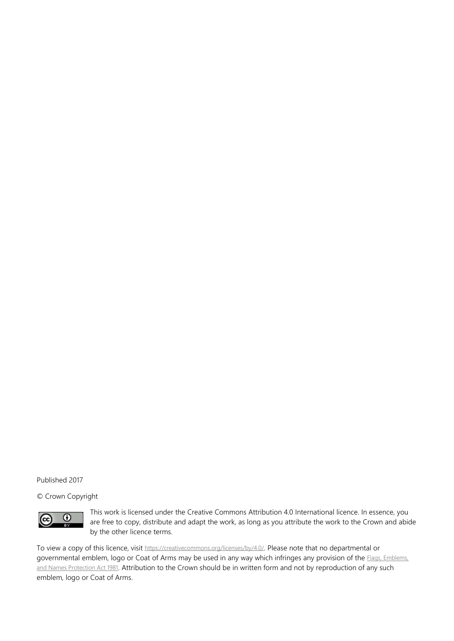Published 2017

© Crown Copyright



This work is licensed under the Creative Commons Attribution 4.0 International licence. In essence, you are free to copy, distribute and adapt the work, as long as you attribute the work to the Crown and abide by the other licence terms.

To view a copy of this licence, visit [https://creativecommons.org/licenses/by/4.0/.](https://creativecommons.org/licenses/by/4.0/) Please note that no departmental or governmental emblem, logo or Coat of Arms may be used in any way which infringes any provision of the *Flags*, Emblems, [and Names Protection Act 1981.](http://www.legislation.govt.nz/act/public/1981/0047/latest/whole.html%23dlm52216) Attribution to the Crown should be in written form and not by reproduction of any such emblem, logo or Coat of Arms.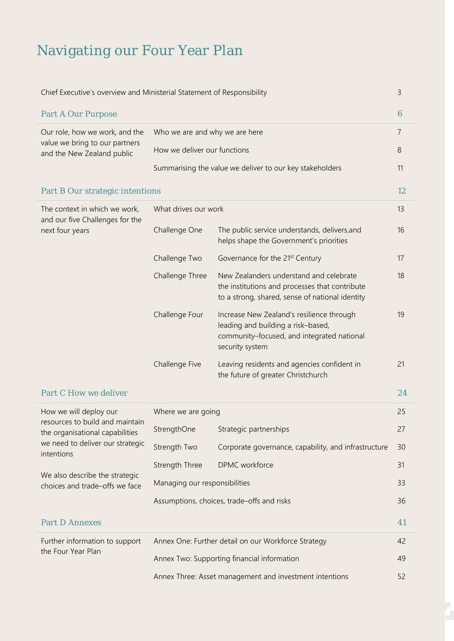## Navigating our Four Year Plan

| Chief Executive's overview and Ministerial Statement of Responsibility |                                |                                                                                                                                                  |                 |  |
|------------------------------------------------------------------------|--------------------------------|--------------------------------------------------------------------------------------------------------------------------------------------------|-----------------|--|
| <b>Part A Our Purpose</b>                                              |                                |                                                                                                                                                  | $6\phantom{1}6$ |  |
| Our role, how we work, and the                                         | Who we are and why we are here |                                                                                                                                                  |                 |  |
| value we bring to our partners<br>and the New Zealand public           | How we deliver our functions   |                                                                                                                                                  | 8               |  |
|                                                                        |                                | Summarising the value we deliver to our key stakeholders                                                                                         | 11              |  |
| Part B Our strategic intentions                                        |                                |                                                                                                                                                  | 12              |  |
| The context in which we work,<br>and our five Challenges for the       | What drives our work           |                                                                                                                                                  | 13              |  |
| next four years                                                        | Challenge One                  | The public service understands, delivers, and<br>helps shape the Government's priorities                                                         | 16              |  |
|                                                                        | Challenge Two                  | Governance for the 21 <sup>st</sup> Century                                                                                                      | 17              |  |
|                                                                        | Challenge Three                | New Zealanders understand and celebrate<br>the institutions and processes that contribute<br>to a strong, shared, sense of national identity     | 18              |  |
|                                                                        | Challenge Four                 | Increase New Zealand's resilience through<br>leading and building a risk-based,<br>community-focused, and integrated national<br>security system | 19              |  |
|                                                                        | Challenge Five                 | Leaving residents and agencies confident in<br>the future of greater Christchurch                                                                | 21              |  |
| <b>Part C How we deliver</b>                                           |                                |                                                                                                                                                  | 24              |  |
| How we will deploy our                                                 | Where we are going             |                                                                                                                                                  | 25              |  |
| resources to build and maintain<br>the organisational capabilities     | StrengthOne                    | Strategic partnerships                                                                                                                           | 27              |  |
| we need to deliver our strategic<br>intentions                         | Strength Two                   | Corporate governance, capability, and infrastructure                                                                                             | 30              |  |
|                                                                        | Strength Three                 | DPMC workforce                                                                                                                                   | 31              |  |
| We also describe the strategic<br>choices and trade-offs we face       | Managing our responsibilities  |                                                                                                                                                  | 33              |  |
|                                                                        |                                | Assumptions, choices, trade-offs and risks                                                                                                       | 36              |  |
| <b>Part D Annexes</b>                                                  |                                |                                                                                                                                                  | 41              |  |
| Further information to support                                         |                                | Annex One: Further detail on our Workforce Strategy                                                                                              | 42              |  |
| the Four Year Plan                                                     |                                | Annex Two: Supporting financial information                                                                                                      | 49              |  |
|                                                                        |                                | Annex Three: Asset management and investment intentions                                                                                          |                 |  |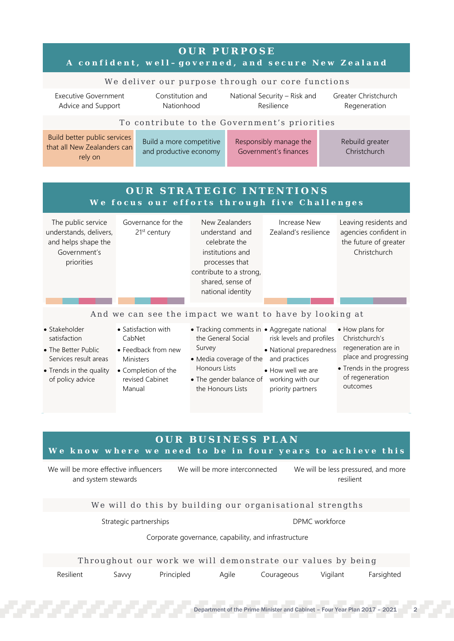|                                                                                                                              | A confident, well-governed, and secure New Zealand                                                                           |                                                                                                                                                             |                                                                                                                                                                                                           |           |                                                                                                                                              |
|------------------------------------------------------------------------------------------------------------------------------|------------------------------------------------------------------------------------------------------------------------------|-------------------------------------------------------------------------------------------------------------------------------------------------------------|-----------------------------------------------------------------------------------------------------------------------------------------------------------------------------------------------------------|-----------|----------------------------------------------------------------------------------------------------------------------------------------------|
|                                                                                                                              | We deliver our purpose through our core functions                                                                            |                                                                                                                                                             |                                                                                                                                                                                                           |           |                                                                                                                                              |
| <b>Executive Government</b><br>Advice and Support                                                                            | Constitution and<br>Nationhood                                                                                               |                                                                                                                                                             | National Security - Risk and<br>Resilience                                                                                                                                                                |           | Greater Christchurch<br>Regeneration                                                                                                         |
|                                                                                                                              | To contribute to the Government's priorities                                                                                 |                                                                                                                                                             |                                                                                                                                                                                                           |           |                                                                                                                                              |
| Build better public services<br>that all New Zealanders can<br>rely on                                                       | Build a more competitive<br>and productive economy                                                                           |                                                                                                                                                             | Responsibly manage the<br>Government's finances                                                                                                                                                           |           | Rebuild greater<br>Christchurch                                                                                                              |
|                                                                                                                              | OUR STRATEGIC INTENTIONS                                                                                                     |                                                                                                                                                             |                                                                                                                                                                                                           |           |                                                                                                                                              |
|                                                                                                                              | We focus our efforts through five Challenges                                                                                 |                                                                                                                                                             |                                                                                                                                                                                                           |           |                                                                                                                                              |
| The public service<br>understands, delivers,<br>and helps shape the<br>Government's<br>priorities                            | Governance for the<br>21 <sup>st</sup> century                                                                               | New Zealanders<br>understand and<br>celebrate the<br>institutions and<br>processes that<br>contribute to a strong,<br>shared, sense of<br>national identity | Increase New<br>Zealand's resilience                                                                                                                                                                      |           | Leaving residents and<br>agencies confident in<br>the future of greater<br>Christchurch                                                      |
|                                                                                                                              |                                                                                                                              |                                                                                                                                                             |                                                                                                                                                                                                           |           |                                                                                                                                              |
|                                                                                                                              | And we can see the impact we want to have by looking at                                                                      |                                                                                                                                                             |                                                                                                                                                                                                           |           |                                                                                                                                              |
| • Stakeholder<br>satisfaction<br>• The Better Public<br>Services result areas<br>• Trends in the quality<br>of policy advice | • Satisfaction with<br>CabNet<br>• Feedback from new<br><b>Ministers</b><br>• Completion of the<br>revised Cabinet<br>Manual | the General Social<br>Survey<br>• Media coverage of the<br>Honours Lists<br>the Honours Lists                                                               | • Tracking comments in • Aggregate national<br>risk levels and profiles<br>• National preparedness<br>and practices<br>• How well we are<br>• The gender balance of working with our<br>priority partners |           | • How plans for<br>Christchurch's<br>regeneration are in<br>place and progressing<br>• Trends in the progress<br>of regeneration<br>outcomes |
|                                                                                                                              |                                                                                                                              |                                                                                                                                                             |                                                                                                                                                                                                           |           |                                                                                                                                              |
|                                                                                                                              |                                                                                                                              | <b>OUR BUSINESS PLAN</b>                                                                                                                                    |                                                                                                                                                                                                           |           |                                                                                                                                              |
|                                                                                                                              | We know where we need to be in four years to achieve this                                                                    |                                                                                                                                                             |                                                                                                                                                                                                           |           |                                                                                                                                              |
| We will be more effective influencers                                                                                        |                                                                                                                              | We will be more interconnected                                                                                                                              |                                                                                                                                                                                                           | resilient | We will be less pressured, and more                                                                                                          |
| and system stewards                                                                                                          |                                                                                                                              |                                                                                                                                                             |                                                                                                                                                                                                           |           |                                                                                                                                              |
|                                                                                                                              | We will do this by building our organisational strengths                                                                     |                                                                                                                                                             |                                                                                                                                                                                                           |           |                                                                                                                                              |
|                                                                                                                              | Strategic partnerships                                                                                                       |                                                                                                                                                             | DPMC workforce                                                                                                                                                                                            |           |                                                                                                                                              |
|                                                                                                                              |                                                                                                                              | Corporate governance, capability, and infrastructure                                                                                                        |                                                                                                                                                                                                           |           |                                                                                                                                              |
|                                                                                                                              | Throughout our work we will demonstrate our values by being                                                                  |                                                                                                                                                             |                                                                                                                                                                                                           |           |                                                                                                                                              |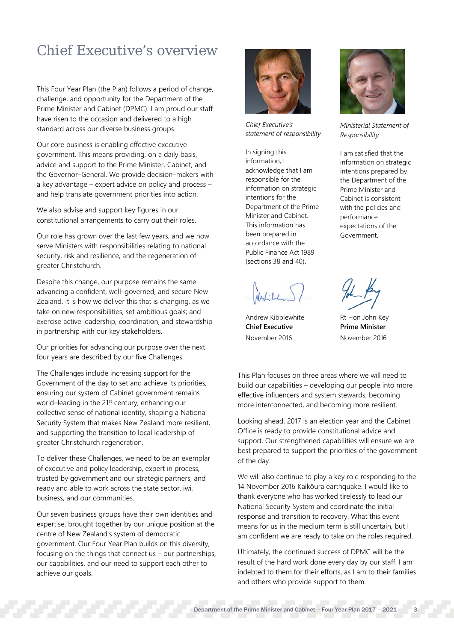## Chief Executive's overview

This Four Year Plan (the Plan) follows a period of change, challenge, and opportunity for the Department of the Prime Minister and Cabinet (DPMC). I am proud our staff have risen to the occasion and delivered to a high standard across our diverse business groups.

Our core business is enabling effective executive government. This means providing, on a daily basis, advice and support to the Prime Minister, Cabinet, and the Governor–General. We provide decision–makers with a key advantage – expert advice on policy and process – and help translate government priorities into action.

We also advise and support key figures in our constitutional arrangements to carry out their roles.

Our role has grown over the last few years, and we now serve Ministers with responsibilities relating to national security, risk and resilience, and the regeneration of greater Christchurch.

Despite this change, our purpose remains the same: advancing a confident, well–governed, and secure New Zealand. It is how we deliver this that is changing, as we take on new responsibilities; set ambitious goals; and exercise active leadership, coordination, and stewardship in partnership with our key stakeholders.

Our priorities for advancing our purpose over the next four years are described by our five Challenges.

The Challenges include increasing support for the Government of the day to set and achieve its priorities, ensuring our system of Cabinet government remains world–leading in the 21<sup>st</sup> century, enhancing our collective sense of national identity, shaping a National Security System that makes New Zealand more resilient, and supporting the transition to local leadership of greater Christchurch regeneration.

To deliver these Challenges, we need to be an exemplar of executive and policy leadership, expert in process, trusted by government and our strategic partners, and ready and able to work across the state sector, iwi, business, and our communities.

Our seven business groups have their own identities and expertise, brought together by our unique position at the centre of New Zealand's system of democratic government. Our Four Year Plan builds on this diversity, focusing on the things that connect us – our partnerships, our capabilities, and our need to support each other to achieve our goals.



*Chief Executive's statement of responsibility*

In signing this information, I acknowledge that I am responsible for the information on strategic intentions for the Department of the Prime Minister and Cabinet. This information has been prepared in accordance with the Public Finance Act 1989 (sections 38 and 40).

Nality

Andrew Kibblewhite **Chief Executive** November 2016



*Ministerial Statement of Responsibility*

I am satisfied that the information on strategic intentions prepared by the Department of the Prime Minister and Cabinet is consistent with the policies and performance expectations of the Government.



Rt Hon John Key **Prime Minister** November 2016

This Plan focuses on three areas where we will need to build our capabilities – developing our people into more effective influencers and system stewards, becoming more interconnected, and becoming more resilient.

Looking ahead, 2017 is an election year and the Cabinet Office is ready to provide constitutional advice and support. Our strengthened capabilities will ensure we are best prepared to support the priorities of the government of the day.

We will also continue to play a key role responding to the 14 November 2016 Kaikōura earthquake. I would like to thank everyone who has worked tirelessly to lead our National Security System and coordinate the initial response and transition to recovery. What this event means for us in the medium term is still uncertain, but I am confident we are ready to take on the roles required.

Ultimately, the continued success of DPMC will be the result of the hard work done every day by our staff. I am indebted to them for their efforts, as I am to their families and others who provide support to them.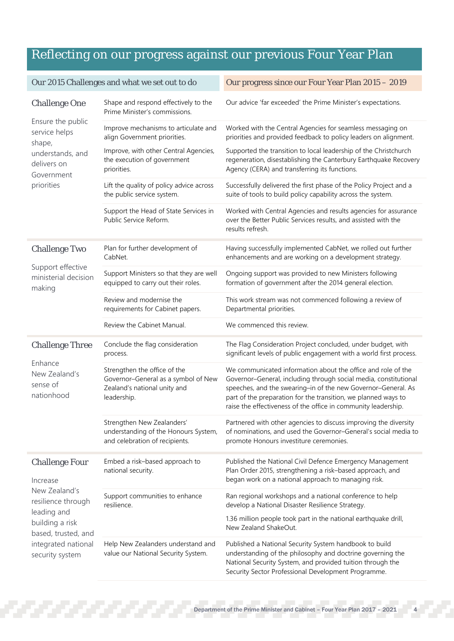## Reflecting on our progress against our previous Four Year Plan

|                                                         | Our 2015 Challenges and what we set out to do                                                                      | Our progress since our Four Year Plan 2015 - 2019                                                                                                                                                                                                                                                                                     |
|---------------------------------------------------------|--------------------------------------------------------------------------------------------------------------------|---------------------------------------------------------------------------------------------------------------------------------------------------------------------------------------------------------------------------------------------------------------------------------------------------------------------------------------|
| <b>Challenge One</b>                                    | Shape and respond effectively to the<br>Prime Minister's commissions.                                              | Our advice 'far exceeded' the Prime Minister's expectations.                                                                                                                                                                                                                                                                          |
| Ensure the public<br>service helps                      | Improve mechanisms to articulate and<br>align Government priorities.                                               | Worked with the Central Agencies for seamless messaging on<br>priorities and provided feedback to policy leaders on alignment.                                                                                                                                                                                                        |
| shape,<br>understands, and<br>delivers on<br>Government | Improve, with other Central Agencies,<br>the execution of government<br>priorities.                                | Supported the transition to local leadership of the Christchurch<br>regeneration, disestablishing the Canterbury Earthquake Recovery<br>Agency (CERA) and transferring its functions.                                                                                                                                                 |
| priorities                                              | Lift the quality of policy advice across<br>the public service system.                                             | Successfully delivered the first phase of the Policy Project and a<br>suite of tools to build policy capability across the system.                                                                                                                                                                                                    |
|                                                         | Support the Head of State Services in<br>Public Service Reform.                                                    | Worked with Central Agencies and results agencies for assurance<br>over the Better Public Services results, and assisted with the<br>results refresh.                                                                                                                                                                                 |
| <b>Challenge Two</b>                                    | Plan for further development of<br>CabNet.                                                                         | Having successfully implemented CabNet, we rolled out further<br>enhancements and are working on a development strategy.                                                                                                                                                                                                              |
| Support effective<br>ministerial decision<br>making     | Support Ministers so that they are well<br>equipped to carry out their roles.                                      | Ongoing support was provided to new Ministers following<br>formation of government after the 2014 general election.                                                                                                                                                                                                                   |
|                                                         | Review and modernise the<br>requirements for Cabinet papers.                                                       | This work stream was not commenced following a review of<br>Departmental priorities.                                                                                                                                                                                                                                                  |
|                                                         | Review the Cabinet Manual.                                                                                         | We commenced this review.                                                                                                                                                                                                                                                                                                             |
| <b>Challenge Three</b>                                  | Conclude the flag consideration<br>process.                                                                        | The Flag Consideration Project concluded, under budget, with<br>significant levels of public engagement with a world first process.                                                                                                                                                                                                   |
| Enhance<br>New Zealand's<br>sense of<br>nationhood      | Strengthen the office of the<br>Governor-General as a symbol of New<br>Zealand's national unity and<br>leadership. | We communicated information about the office and role of the<br>Governor-General, including through social media, constitutional<br>speeches, and the swearing-in of the new Governor-General. As<br>part of the preparation for the transition, we planned ways to<br>raise the effectiveness of the office in community leadership. |
|                                                         | Strengthen New Zealanders'<br>understanding of the Honours System,<br>and celebration of recipients.               | Partnered with other agencies to discuss improving the diversity<br>of nominations, and used the Governor-General's social media to<br>promote Honours investiture ceremonies.                                                                                                                                                        |
| <b>Challenge Four</b><br>Increase                       | Embed a risk-based approach to<br>national security.                                                               | Published the National Civil Defence Emergency Management<br>Plan Order 2015, strengthening a risk-based approach, and<br>began work on a national approach to managing risk.                                                                                                                                                         |
| New Zealand's<br>resilience through                     | Support communities to enhance<br>resilience.                                                                      | Ran regional workshops and a national conference to help<br>develop a National Disaster Resilience Strategy.                                                                                                                                                                                                                          |
| leading and<br>building a risk<br>based, trusted, and   |                                                                                                                    | 1.36 million people took part in the national earthquake drill,<br>New Zealand ShakeOut.                                                                                                                                                                                                                                              |
| integrated national<br>security system                  | Help New Zealanders understand and<br>value our National Security System.                                          | Published a National Security System handbook to build<br>understanding of the philosophy and doctrine governing the<br>National Security System, and provided tuition through the<br>Security Sector Professional Development Programme.                                                                                             |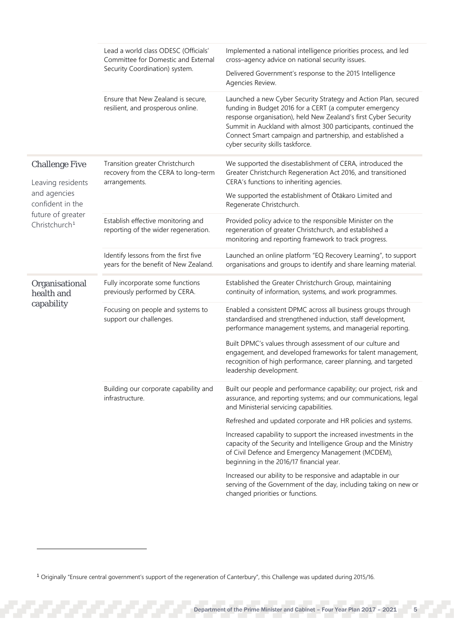|                                                       | Lead a world class ODESC (Officials'<br>Committee for Domestic and External<br>Security Coordination) system. | Implemented a national intelligence priorities process, and led<br>cross-agency advice on national security issues.<br>Delivered Government's response to the 2015 Intelligence                                                                                                                                                                  |
|-------------------------------------------------------|---------------------------------------------------------------------------------------------------------------|--------------------------------------------------------------------------------------------------------------------------------------------------------------------------------------------------------------------------------------------------------------------------------------------------------------------------------------------------|
|                                                       | Ensure that New Zealand is secure,<br>resilient, and prosperous online.                                       | Agencies Review.<br>Launched a new Cyber Security Strategy and Action Plan, secured<br>funding in Budget 2016 for a CERT (a computer emergency<br>response organisation), held New Zealand's first Cyber Security<br>Summit in Auckland with almost 300 participants, continued the<br>Connect Smart campaign and partnership, and established a |
| <b>Challenge Five</b>                                 | Transition greater Christchurch<br>recovery from the CERA to long-term                                        | cyber security skills taskforce.<br>We supported the disestablishment of CERA, introduced the<br>Greater Christchurch Regeneration Act 2016, and transitioned                                                                                                                                                                                    |
| Leaving residents<br>and agencies<br>confident in the | arrangements.                                                                                                 | CERA's functions to inheriting agencies.<br>We supported the establishment of Otākaro Limited and<br>Regenerate Christchurch.                                                                                                                                                                                                                    |
| future of greater<br>Christchurch <sup>1</sup>        | Establish effective monitoring and<br>reporting of the wider regeneration.                                    | Provided policy advice to the responsible Minister on the<br>regeneration of greater Christchurch, and established a<br>monitoring and reporting framework to track progress.                                                                                                                                                                    |
|                                                       | Identify lessons from the first five<br>years for the benefit of New Zealand.                                 | Launched an online platform "EQ Recovery Learning", to support<br>organisations and groups to identify and share learning material.                                                                                                                                                                                                              |
| Organisational<br>health and                          | Fully incorporate some functions<br>previously performed by CERA.                                             | Established the Greater Christchurch Group, maintaining<br>continuity of information, systems, and work programmes.                                                                                                                                                                                                                              |
| capability                                            | Focusing on people and systems to<br>support our challenges.                                                  | Enabled a consistent DPMC across all business groups through<br>standardised and strengthened induction, staff development,<br>performance management systems, and managerial reporting.                                                                                                                                                         |
|                                                       |                                                                                                               | Built DPMC's values through assessment of our culture and<br>engagement, and developed frameworks for talent management,<br>recognition of high performance, career planning, and targeted<br>leadership development.                                                                                                                            |
|                                                       | Building our corporate capability and<br>infrastructure.                                                      | Built our people and performance capability; our project, risk and<br>assurance, and reporting systems; and our communications, legal<br>and Ministerial servicing capabilities.                                                                                                                                                                 |
|                                                       |                                                                                                               | Refreshed and updated corporate and HR policies and systems.                                                                                                                                                                                                                                                                                     |
|                                                       |                                                                                                               | Increased capability to support the increased investments in the<br>capacity of the Security and Intelligence Group and the Ministry<br>of Civil Defence and Emergency Management (MCDEM),<br>beginning in the 2016/17 financial year.                                                                                                           |
|                                                       |                                                                                                               | Increased our ability to be responsive and adaptable in our<br>serving of the Government of the day, including taking on new or<br>changed priorities or functions.                                                                                                                                                                              |

j

<span id="page-6-0"></span><sup>1</sup> Originally "Ensure central government's support of the regeneration of Canterbury", this Challenge was updated during 2015/16.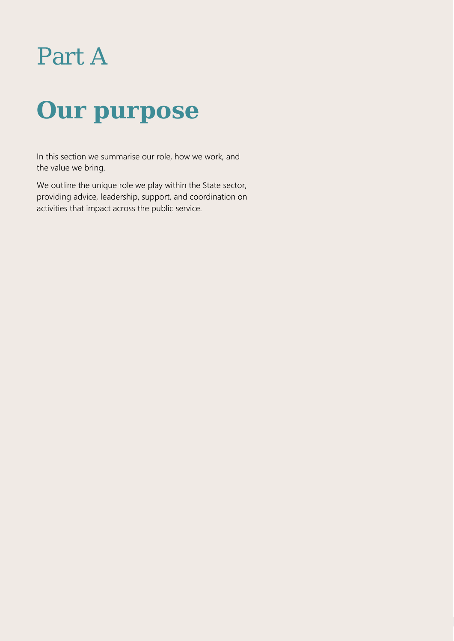# Part A

# **Our purpose**

In this section we summarise our role, how we work, and the value we bring.

We outline the unique role we play within the State sector, providing advice, leadership, support, and coordination on activities that impact across the public service.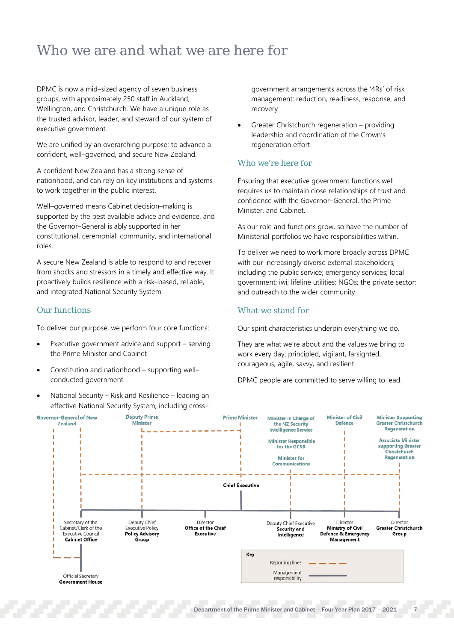## <span id="page-8-0"></span>Who we are and what we are here for

DPMC is now a mid–sized agency of seven business groups, with approximately 250 staff in Auckland, Wellington, and Christchurch. We have a unique role as the trusted advisor, leader, and steward of our system of executive government.

We are unified by an overarching purpose: to advance a confident, well–governed, and secure New Zealand.

A confident New Zealand has a strong sense of nationhood, and can rely on key institutions and systems to work together in the public interest.

Well–governed means Cabinet decision–making is supported by the best available advice and evidence, and the Governor–General is ably supported in her constitutional, ceremonial, community, and international roles.

A secure New Zealand is able to respond to and recover from shocks and stressors in a timely and effective way. It proactively builds resilience with a risk–based, reliable, and integrated National Security System.

## Our functions

To deliver our purpose, we perform four core functions:

- Executive government advice and support serving the Prime Minister and Cabinet
- Constitution and nationhood supporting well– conducted government
- National Security Risk and Resilience leading an effective National Security System, including cross–

government arrangements across the '4Rs' of risk management: reduction, readiness, response, and recovery

• Greater Christchurch regeneration – providing leadership and coordination of the Crown's regeneration effort

## Who we're here for

Ensuring that executive government functions well requires us to maintain close relationships of trust and confidence with the Governor–General, the Prime Minister, and Cabinet.

As our role and functions grow, so have the number of Ministerial portfolios we have responsibilities within.

To deliver we need to work more broadly across DPMC with our increasingly diverse external stakeholders, including the public service; emergency services; local government; iwi; lifeline utilities; NGOs; the private sector; and outreach to the wider community.

## What we stand for

Our spirit characteristics underpin everything we do.

They are what we're about and the values we bring to work every day: principled, vigilant, farsighted, courageous, agile, savvy, and resilient.

DPMC people are committed to serve willing to lead.

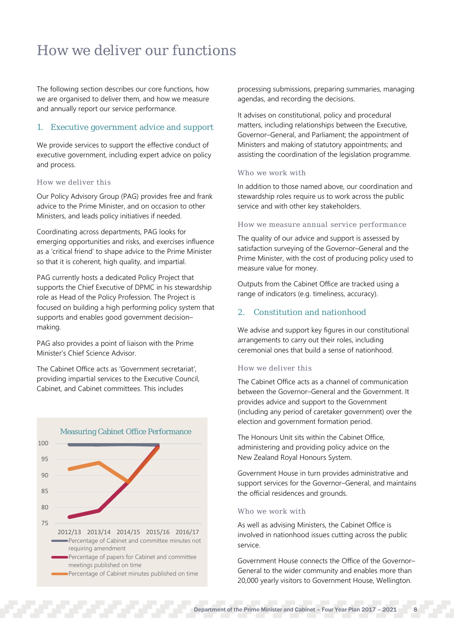## <span id="page-9-0"></span>How we deliver our functions

The following section describes our core functions, how we are organised to deliver them, and how we measure and annually report our service performance.

## 1. Executive government advice and support

We provide services to support the effective conduct of executive government, including expert advice on policy and process.

## How we deliver this

Our Policy Advisory Group (PAG) provides free and frank advice to the Prime Minister, and on occasion to other Ministers, and leads policy initiatives if needed.

Coordinating across departments, PAG looks for emerging opportunities and risks, and exercises influence as a 'critical friend' to shape advice to the Prime Minister so that it is coherent, high quality, and impartial.

PAG currently hosts a dedicated Policy Project that supports the Chief Executive of DPMC in his stewardship role as Head of the Policy Profession. The Project is focused on building a high performing policy system that supports and enables good government decision– making.

PAG also provides a point of liaison with the Prime Minister's Chief Science Advisor.

The Cabinet Office acts as 'Government secretariat', providing impartial services to the Executive Council, Cabinet, and Cabinet committees. This includes



processing submissions, preparing summaries, managing agendas, and recording the decisions.

It advises on constitutional, policy and procedural matters, including relationships between the Executive, Governor–General, and Parliament; the appointment of Ministers and making of statutory appointments; and assisting the coordination of the legislation programme.

### Who we work with

In addition to those named above, our coordination and stewardship roles require us to work across the public service and with other key stakeholders.

### How we measure annual service performance

The quality of our advice and support is assessed by satisfaction surveying of the Governor–General and the Prime Minister, with the cost of producing policy used to measure value for money.

Outputs from the Cabinet Office are tracked using a range of indicators (e.g. timeliness, accuracy).

## 2. Constitution and nationhood

We advise and support key figures in our constitutional arrangements to carry out their roles, including ceremonial ones that build a sense of nationhood.

### How we deliver this

The Cabinet Office acts as a channel of communication between the Governor–General and the Government. It provides advice and support to the Government (including any period of caretaker government) over the election and government formation period.

The Honours Unit sits within the Cabinet Office, administering and providing policy advice on the New Zealand Royal Honours System.

Government House in turn provides administrative and support services for the Governor–General, and maintains the official residences and grounds.

## Who we work with

As well as advising Ministers, the Cabinet Office is involved in nationhood issues cutting across the public service.

Government House connects the Office of the Governor– General to the wider community and enables more than 20,000 yearly visitors to Government House, Wellington.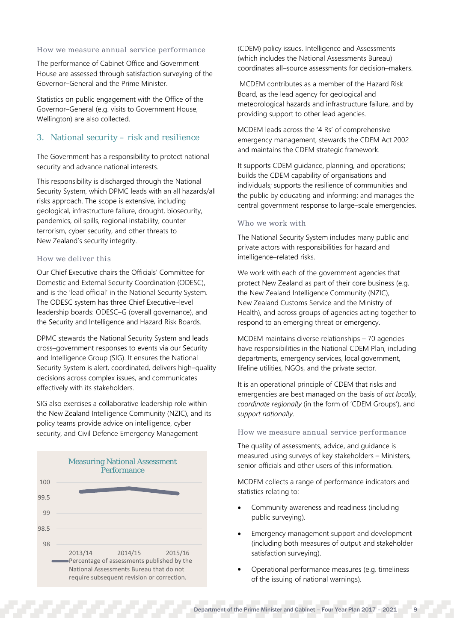### How we measure annual service performance

The performance of Cabinet Office and Government House are assessed through satisfaction surveying of the Governor–General and the Prime Minister.

Statistics on public engagement with the Office of the Governor–General (e.g. visits to Government House, Wellington) are also collected.

## 3. National security – risk and resilience

The Government has a responsibility to protect national security and advance national interests.

This responsibility is discharged through the National Security System, which DPMC leads with an all hazards/all risks approach. The scope is extensive, including geological, infrastructure failure, drought, biosecurity, pandemics, oil spills, regional instability, counter terrorism, cyber security, and other threats to New Zealand's security integrity.

## How we deliver this

Our Chief Executive chairs the Officials' Committee for Domestic and External Security Coordination (ODESC), and is the 'lead official' in the National Security System. The ODESC system has three Chief Executive–level leadership boards: ODESC–G (overall governance), and the Security and Intelligence and Hazard Risk Boards.

DPMC stewards the National Security System and leads cross–government responses to events via our Security and Intelligence Group (SIG). It ensures the National Security System is alert, coordinated, delivers high–quality decisions across complex issues, and communicates effectively with its stakeholders.

SIG also exercises a collaborative leadership role within the New Zealand Intelligence Community (NZIC), and its policy teams provide advice on intelligence, cyber security, and Civil Defence Emergency Management



(CDEM) policy issues. Intelligence and Assessments (which includes the National Assessments Bureau) coordinates all–source assessments for decision–makers.

MCDEM contributes as a member of the Hazard Risk Board, as the lead agency for geological and meteorological hazards and infrastructure failure, and by providing support to other lead agencies.

MCDEM leads across the '4 Rs' of comprehensive emergency management, stewards the CDEM Act 2002 and maintains the CDEM strategic framework.

It supports CDEM guidance, planning, and operations; builds the CDEM capability of organisations and individuals; supports the resilience of communities and the public by educating and informing; and manages the central government response to large–scale emergencies.

### Who we work with

The National Security System includes many public and private actors with responsibilities for hazard and intelligence–related risks.

We work with each of the government agencies that protect New Zealand as part of their core business (e.g. the New Zealand Intelligence Community (NZIC), New Zealand Customs Service and the Ministry of Health), and across groups of agencies acting together to respond to an emerging threat or emergency.

MCDEM maintains diverse relationships – 70 agencies have responsibilities in the National CDEM Plan, including departments, emergency services, local government, lifeline utilities, NGOs, and the private sector.

It is an operational principle of CDEM that risks and emergencies are best managed on the basis of *act locally, coordinate regionally* (in the form of 'CDEM Groups'), and *support nationally*.

### How we measure annual service performance

The quality of assessments, advice, and guidance is measured using surveys of key stakeholders – Ministers, senior officials and other users of this information.

MCDEM collects a range of performance indicators and statistics relating to:

- Community awareness and readiness (including public surveying).
- Emergency management support and development (including both measures of output and stakeholder satisfaction surveying).
- Operational performance measures (e.g. timeliness of the issuing of national warnings).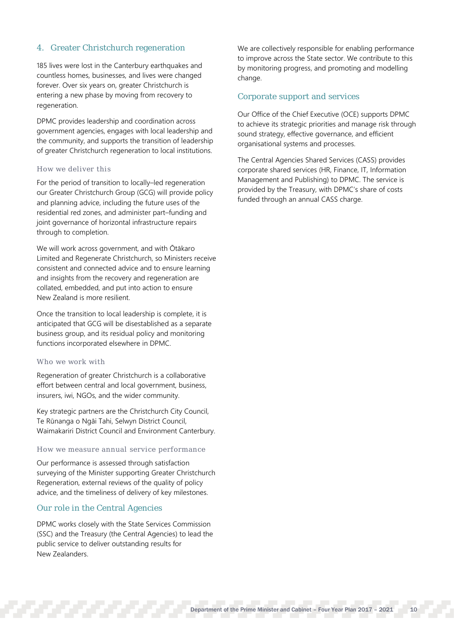## 4. Greater Christchurch regeneration

185 lives were lost in the Canterbury earthquakes and countless homes, businesses, and lives were changed forever. Over six years on, greater Christchurch is entering a new phase by moving from recovery to regeneration.

DPMC provides leadership and coordination across government agencies, engages with local leadership and the community, and supports the transition of leadership of greater Christchurch regeneration to local institutions.

### How we deliver this

For the period of transition to locally–led regeneration our Greater Christchurch Group (GCG) will provide policy and planning advice, including the future uses of the residential red zones, and administer part–funding and joint governance of horizontal infrastructure repairs through to completion.

We will work across government, and with Ōtākaro Limited and Regenerate Christchurch, so Ministers receive consistent and connected advice and to ensure learning and insights from the recovery and regeneration are collated, embedded, and put into action to ensure New Zealand is more resilient.

Once the transition to local leadership is complete, it is anticipated that GCG will be disestablished as a separate business group, and its residual policy and monitoring functions incorporated elsewhere in DPMC.

## Who we work with

Regeneration of greater Christchurch is a collaborative effort between central and local government, business, insurers, iwi, NGOs, and the wider community.

Key strategic partners are the Christchurch City Council, Te Rūnanga o Ngāi Tahi, Selwyn District Council, Waimakariri District Council and Environment Canterbury.

### How we measure annual service performance

Our performance is assessed through satisfaction surveying of the Minister supporting Greater Christchurch Regeneration, external reviews of the quality of policy advice, and the timeliness of delivery of key milestones.

## Our role in the Central Agencies

DPMC works closely with the State Services Commission (SSC) and the Treasury (the Central Agencies) to lead the public service to deliver outstanding results for New Zealanders.

We are collectively responsible for enabling performance to improve across the State sector. We contribute to this by monitoring progress, and promoting and modelling change.

## Corporate support and services

Our Office of the Chief Executive (OCE) supports DPMC to achieve its strategic priorities and manage risk through sound strategy, effective governance, and efficient organisational systems and processes.

The Central Agencies Shared Services (CASS) provides corporate shared services (HR, Finance, IT, Information Management and Publishing) to DPMC. The service is provided by the Treasury, with DPMC's share of costs funded through an annual CASS charge.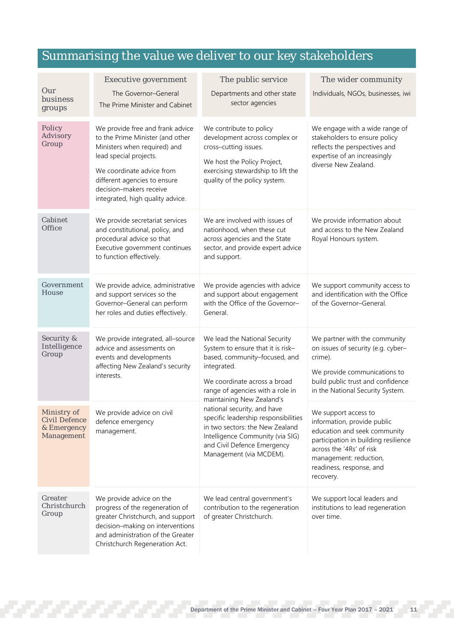## Summarising the value we deliver to our key stakeholders

| Our<br>business<br>groups                                        | <b>Executive government</b><br>The Governor-General<br>The Prime Minister and Cabinet                                                                                                                                                                      | The public service<br>Departments and other state<br>sector agencies                                                                                                                                                | The wider community<br>Individuals, NGOs, businesses, iwi                                                                                                                                                                  |
|------------------------------------------------------------------|------------------------------------------------------------------------------------------------------------------------------------------------------------------------------------------------------------------------------------------------------------|---------------------------------------------------------------------------------------------------------------------------------------------------------------------------------------------------------------------|----------------------------------------------------------------------------------------------------------------------------------------------------------------------------------------------------------------------------|
| Policy<br>Advisory<br>Group                                      | We provide free and frank advice<br>to the Prime Minister (and other<br>Ministers when required) and<br>lead special projects.<br>We coordinate advice from<br>different agencies to ensure<br>decision-makers receive<br>integrated, high quality advice. | We contribute to policy<br>development across complex or<br>cross-cutting issues.<br>We host the Policy Project,<br>exercising stewardship to lift the<br>quality of the policy system.                             | We engage with a wide range of<br>stakeholders to ensure policy<br>reflects the perspectives and<br>expertise of an increasingly<br>diverse New Zealand.                                                                   |
| Cabinet<br>Office                                                | We provide secretariat services<br>and constitutional, policy, and<br>procedural advice so that<br>Executive government continues<br>to function effectively.                                                                                              | We are involved with issues of<br>nationhood, when these cut<br>across agencies and the State<br>sector, and provide expert advice<br>and support.                                                                  | We provide information about<br>and access to the New Zealand<br>Royal Honours system.                                                                                                                                     |
| Government<br>House                                              | We provide advice, administrative<br>and support services so the<br>Governor-General can perform<br>her roles and duties effectively.                                                                                                                      | We provide agencies with advice<br>and support about engagement<br>with the Office of the Governor-<br>General.                                                                                                     | We support community access to<br>and identification with the Office<br>of the Governor-General.                                                                                                                           |
| Security &<br>Intelligence<br>Group                              | We provide integrated, all-source<br>advice and assessments on<br>events and developments<br>affecting New Zealand's security<br>interests.                                                                                                                | We lead the National Security<br>System to ensure that it is risk-<br>based, community-focused, and<br>integrated.<br>We coordinate across a broad<br>range of agencies with a role in<br>maintaining New Zealand's | We partner with the community<br>on issues of security (e.g. cyber-<br>crime).<br>We provide communications to<br>build public trust and confidence<br>in the National Security System.                                    |
| Ministry of<br><b>Civil Defence</b><br>& Emergency<br>Management | We provide advice on civil<br>defence emergency<br>management.                                                                                                                                                                                             | national security, and have<br>specific leadership responsibilities<br>in two sectors: the New Zealand<br>Intelligence Community (via SIG)<br>and Civil Defence Emergency<br>Management (via MCDEM).                | We support access to<br>information, provide public<br>education and seek community<br>participation in building resilience<br>across the '4Rs' of risk<br>management: reduction,<br>readiness, response, and<br>recovery. |
| Greater<br>Christchurch<br>Group                                 | We provide advice on the<br>progress of the regeneration of<br>greater Christchurch, and support<br>decision-making on interventions<br>and administration of the Greater<br>Christchurch Regeneration Act.                                                | We lead central government's<br>contribution to the regeneration<br>of greater Christchurch.                                                                                                                        | We support local leaders and<br>institutions to lead regeneration<br>over time.                                                                                                                                            |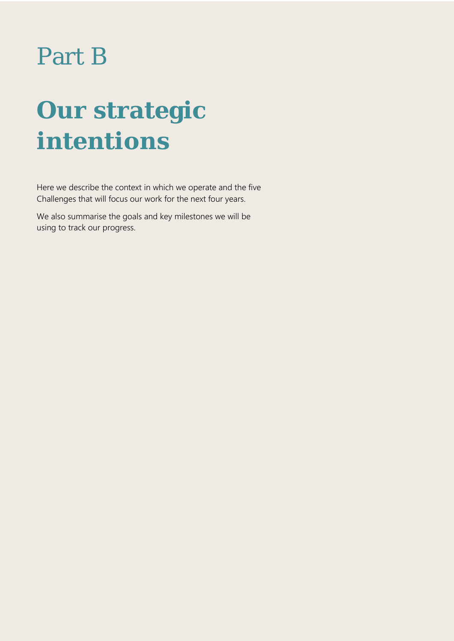# Part B

# **Our strategic intentions**

Here we describe the context in which we operate and the five Challenges that will focus our work for the next four years.

We also summarise the goals and key milestones we will be using to track our progress.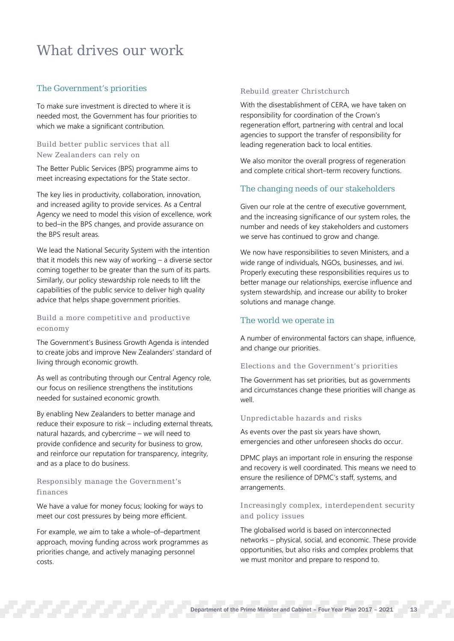## <span id="page-14-0"></span>What drives our work

## The Government's priorities

To make sure investment is directed to where it is needed most, the Government has four priorities to which we make a significant contribution.

## Build better public services that all New Zealanders can rely on

The Better Public Services (BPS) programme aims to meet increasing expectations for the State sector.

The key lies in productivity, collaboration, innovation, and increased agility to provide services. As a Central Agency we need to model this vision of excellence, work to bed–in the BPS changes, and provide assurance on the BPS result areas.

We lead the National Security System with the intention that it models this new way of working – a diverse sector coming together to be greater than the sum of its parts. Similarly, our policy stewardship role needs to lift the capabilities of the public service to deliver high quality advice that helps shape government priorities.

## Build a more competitive and productive economy

The Government's Business Growth Agenda is intended to create jobs and improve New Zealanders' standard of living through economic growth.

As well as contributing through our Central Agency role, our focus on resilience strengthens the institutions needed for sustained economic growth.

By enabling New Zealanders to better manage and reduce their exposure to risk – including external threats, natural hazards, and cybercrime – we will need to provide confidence and security for business to grow, and reinforce our reputation for transparency, integrity, and as a place to do business.

## Responsibly manage the Government's finances

We have a value for money focus; looking for ways to meet our cost pressures by being more efficient.

For example, we aim to take a whole–of–department approach, moving funding across work programmes as priorities change, and actively managing personnel costs.

## Rebuild greater Christchurch

With the disestablishment of CERA, we have taken on responsibility for coordination of the Crown's regeneration effort, partnering with central and local agencies to support the transfer of responsibility for leading regeneration back to local entities.

We also monitor the overall progress of regeneration and complete critical short–term recovery functions.

## The changing needs of our stakeholders

Given our role at the centre of executive government, and the increasing significance of our system roles, the number and needs of key stakeholders and customers we serve has continued to grow and change.

We now have responsibilities to seven Ministers, and a wide range of individuals, NGOs, businesses, and iwi. Properly executing these responsibilities requires us to better manage our relationships, exercise influence and system stewardship, and increase our ability to broker solutions and manage change.

## The world we operate in

A number of environmental factors can shape, influence, and change our priorities.

## Elections and the Government's priorities

The Government has set priorities, but as governments and circumstances change these priorities will change as well.

## Unpredictable hazards and risks

As events over the past six years have shown, emergencies and other unforeseen shocks do occur.

DPMC plays an important role in ensuring the response and recovery is well coordinated. This means we need to ensure the resilience of DPMC's staff, systems, and arrangements.

## Increasingly complex, interdependent security and policy issues

The globalised world is based on interconnected networks – physical, social, and economic. These provide opportunities, but also risks and complex problems that we must monitor and prepare to respond to.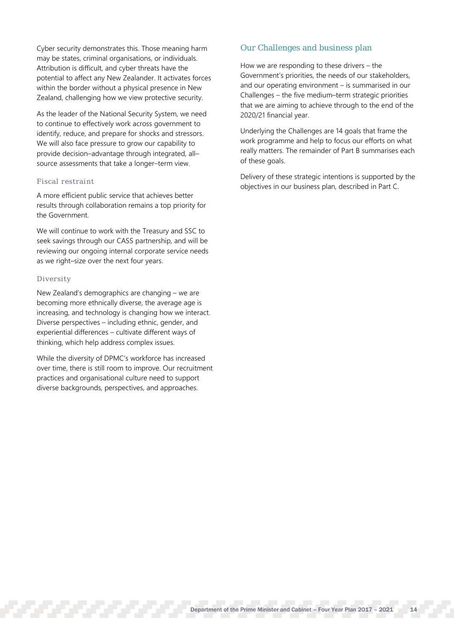Cyber security demonstrates this. Those meaning harm may be states, criminal organisations, or individuals. Attribution is difficult, and cyber threats have the potential to affect any New Zealander. It activates forces within the border without a physical presence in New Zealand, challenging how we view protective security.

As the leader of the National Security System, we need to continue to effectively work across government to identify, reduce, and prepare for shocks and stressors. We will also face pressure to grow our capability to provide decision–advantage through integrated, all– source assessments that take a longer–term view.

### Fiscal restraint

A more efficient public service that achieves better results through collaboration remains a top priority for the Government.

We will continue to work with the Treasury and SSC to seek savings through our CASS partnership, and will be reviewing our ongoing internal corporate service needs as we right–size over the next four years.

### Diversity

New Zealand's demographics are changing – we are becoming more ethnically diverse, the average age is increasing, and technology is changing how we interact. Diverse perspectives – including ethnic, gender, and experiential differences – cultivate different ways of thinking, which help address complex issues.

While the diversity of DPMC's workforce has increased over time, there is still room to improve. Our recruitment practices and organisational culture need to support diverse backgrounds, perspectives, and approaches.

## Our Challenges and business plan

How we are responding to these drivers – the Government's priorities, the needs of our stakeholders, and our operating environment – is summarised in our Challenges – the five medium–term strategic priorities that we are aiming to achieve through to the end of the 2020/21 financial year.

Underlying the Challenges are 14 goals that frame the work programme and help to focus our efforts on what really matters. The remainder of Part B summarises each of these goals.

Delivery of these strategic intentions is supported by the objectives in our business plan, described in Part C.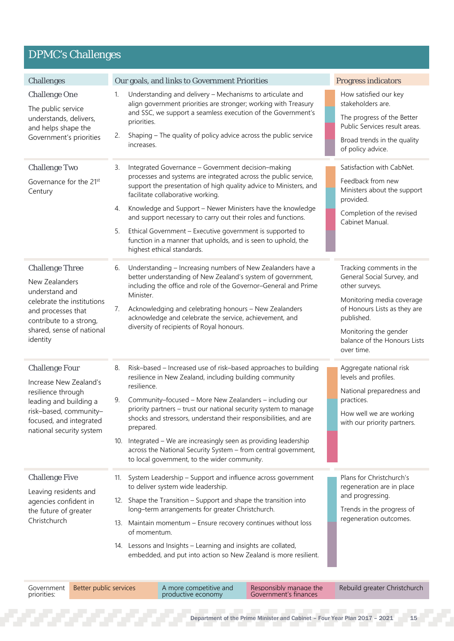## DPMC's Challenges

| <b>Challenges</b>                                                                                                                                                                  | Our goals, and links to Government Priorities                                                                                                                                                                                                                                                                                                                                                                                                                                                                                                                | <b>Progress indicators</b>                                                                                                                                                                                                 |
|------------------------------------------------------------------------------------------------------------------------------------------------------------------------------------|--------------------------------------------------------------------------------------------------------------------------------------------------------------------------------------------------------------------------------------------------------------------------------------------------------------------------------------------------------------------------------------------------------------------------------------------------------------------------------------------------------------------------------------------------------------|----------------------------------------------------------------------------------------------------------------------------------------------------------------------------------------------------------------------------|
| <b>Challenge One</b><br>The public service<br>understands, delivers,<br>and helps shape the<br>Government's priorities                                                             | Understanding and delivery - Mechanisms to articulate and<br>1.<br>align government priorities are stronger; working with Treasury<br>and SSC, we support a seamless execution of the Government's<br>priorities.<br>Shaping – The quality of policy advice across the public service<br>2.<br>increases.                                                                                                                                                                                                                                                    | How satisfied our key<br>stakeholders are.<br>The progress of the Better<br>Public Services result areas.<br>Broad trends in the quality<br>of policy advice.                                                              |
| <b>Challenge Two</b><br>Governance for the 21st<br>Century                                                                                                                         | Integrated Governance - Government decision-making<br>З.<br>processes and systems are integrated across the public service,<br>support the presentation of high quality advice to Ministers, and<br>facilitate collaborative working.<br>Knowledge and Support - Newer Ministers have the knowledge<br>4.<br>and support necessary to carry out their roles and functions.<br>Ethical Government - Executive government is supported to<br>5.<br>function in a manner that upholds, and is seen to uphold, the<br>highest ethical standards.                 | Satisfaction with CabNet.<br>Feedback from new<br>Ministers about the support<br>provided.<br>Completion of the revised<br>Cabinet Manual.                                                                                 |
| <b>Challenge Three</b><br>New Zealanders<br>understand and<br>celebrate the institutions<br>and processes that<br>contribute to a strong,<br>shared, sense of national<br>identity | Understanding - Increasing numbers of New Zealanders have a<br>6.<br>better understanding of New Zealand's system of government,<br>including the office and role of the Governor-General and Prime<br>Minister.<br>Acknowledging and celebrating honours - New Zealanders<br>7.<br>acknowledge and celebrate the service, achievement, and<br>diversity of recipients of Royal honours.                                                                                                                                                                     | Tracking comments in the<br>General Social Survey, and<br>other surveys.<br>Monitoring media coverage<br>of Honours Lists as they are<br>published.<br>Monitoring the gender<br>balance of the Honours Lists<br>over time. |
| <b>Challenge Four</b><br>Increase New Zealand's<br>resilience through<br>leading and building a<br>risk-based, community-<br>focused, and integrated<br>national security system   | Risk-based - Increased use of risk-based approaches to building<br>8.<br>resilience in New Zealand, including building community<br>resilience.<br>Community-focused - More New Zealanders - including our<br>9.<br>priority partners – trust our national security system to manage<br>shocks and stressors, understand their responsibilities, and are<br>prepared.<br>10. Integrated – We are increasingly seen as providing leadership<br>across the National Security System - from central government,<br>to local government, to the wider community. | Aggregate national risk<br>levels and profiles.<br>National preparedness and<br>practices.<br>How well we are working<br>with our priority partners.                                                                       |
| <b>Challenge Five</b><br>Leaving residents and<br>agencies confident in<br>the future of greater<br>Christchurch                                                                   | 11. System Leadership - Support and influence across government<br>to deliver system wide leadership.<br>12. Shape the Transition - Support and shape the transition into<br>long-term arrangements for greater Christchurch.<br>13. Maintain momentum - Ensure recovery continues without loss<br>of momentum.<br>14. Lessons and Insights - Learning and insights are collated,<br>embedded, and put into action so New Zealand is more resilient.                                                                                                         | Plans for Christchurch's<br>regeneration are in place<br>and progressing.<br>Trends in the progress of<br>regeneration outcomes.                                                                                           |

Better public services<br>
A more competitive and<br>
productive economy A more competitive and Responsibly manage the Rebuild greater Christchurch<br>productive economy Government's finances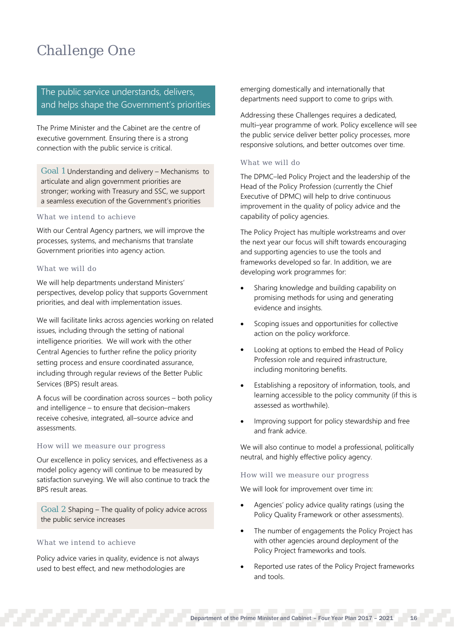## Challenge One

## The public service understands, delivers, and helps shape the Government's priorities

The Prime Minister and the Cabinet are the centre of executive government. Ensuring there is a strong connection with the public service is critical.

Goal 1 Understanding and delivery – Mechanisms to articulate and align government priorities are stronger; working with Treasury and SSC, we support a seamless execution of the Government's priorities

## What we intend to achieve

With our Central Agency partners, we will improve the processes, systems, and mechanisms that translate Government priorities into agency action.

### What we will do

We will help departments understand Ministers' perspectives, develop policy that supports Government priorities, and deal with implementation issues.

We will facilitate links across agencies working on related issues, including through the setting of national intelligence priorities. We will work with the other Central Agencies to further refine the policy priority setting process and ensure coordinated assurance, including through regular reviews of the Better Public Services (BPS) result areas.

A focus will be coordination across sources – both policy and intelligence – to ensure that decision–makers receive cohesive, integrated, all–source advice and assessments.

## How will we measure our progress

Our excellence in policy services, and effectiveness as a model policy agency will continue to be measured by satisfaction surveying. We will also continue to track the BPS result areas.

Goal 2 Shaping – The quality of policy advice across the public service increases

### What we intend to achieve

Policy advice varies in quality, evidence is not always used to best effect, and new methodologies are

emerging domestically and internationally that departments need support to come to grips with.

Addressing these Challenges requires a dedicated, multi–year programme of work. Policy excellence will see the public service deliver better policy processes, more responsive solutions, and better outcomes over time.

## What we will do

The DPMC–led Policy Project and the leadership of the Head of the Policy Profession (currently the Chief Executive of DPMC) will help to drive continuous improvement in the quality of policy advice and the capability of policy agencies.

The Policy Project has multiple workstreams and over the next year our focus will shift towards encouraging and supporting agencies to use the tools and frameworks developed so far. In addition, we are developing work programmes for:

- Sharing knowledge and building capability on promising methods for using and generating evidence and insights.
- Scoping issues and opportunities for collective action on the policy workforce.
- Looking at options to embed the Head of Policy Profession role and required infrastructure, including monitoring benefits.
- Establishing a repository of information, tools, and learning accessible to the policy community (if this is assessed as worthwhile).
- Improving support for policy stewardship and free and frank advice.

We will also continue to model a professional, politically neutral, and highly effective policy agency.

### How will we measure our progress

We will look for improvement over time in:

- Agencies' policy advice quality ratings (using the Policy Quality Framework or other assessments).
- The number of engagements the Policy Project has with other agencies around deployment of the Policy Project frameworks and tools.
- Reported use rates of the Policy Project frameworks and tools.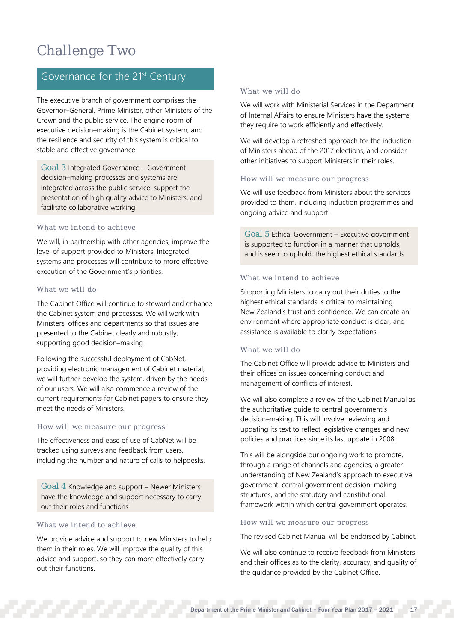## Challenge Two

## Governance for the 21<sup>st</sup> Century

The executive branch of government comprises the Governor–General, Prime Minister, other Ministers of the Crown and the public service. The engine room of executive decision–making is the Cabinet system, and the resilience and security of this system is critical to stable and effective governance.

Goal 3 Integrated Governance – Government decision–making processes and systems are integrated across the public service, support the presentation of high quality advice to Ministers, and facilitate collaborative working

## What we intend to achieve

We will, in partnership with other agencies, improve the level of support provided to Ministers. Integrated systems and processes will contribute to more effective execution of the Government's priorities.

### What we will do

The Cabinet Office will continue to steward and enhance the Cabinet system and processes. We will work with Ministers' offices and departments so that issues are presented to the Cabinet clearly and robustly, supporting good decision–making.

Following the successful deployment of CabNet, providing electronic management of Cabinet material, we will further develop the system, driven by the needs of our users. We will also commence a review of the current requirements for Cabinet papers to ensure they meet the needs of Ministers.

## How will we measure our progress

The effectiveness and ease of use of CabNet will be tracked using surveys and feedback from users, including the number and nature of calls to helpdesks.

Goal 4 Knowledge and support – Newer Ministers have the knowledge and support necessary to carry out their roles and functions

### What we intend to achieve

We provide advice and support to new Ministers to help them in their roles. We will improve the quality of this advice and support, so they can more effectively carry out their functions.

## What we will do

We will work with Ministerial Services in the Department of Internal Affairs to ensure Ministers have the systems they require to work efficiently and effectively.

We will develop a refreshed approach for the induction of Ministers ahead of the 2017 elections, and consider other initiatives to support Ministers in their roles.

## How will we measure our progress

We will use feedback from Ministers about the services provided to them, including induction programmes and ongoing advice and support.

Goal 5 Ethical Government – Executive government is supported to function in a manner that upholds, and is seen to uphold, the highest ethical standards

## What we intend to achieve

Supporting Ministers to carry out their duties to the highest ethical standards is critical to maintaining New Zealand's trust and confidence. We can create an environment where appropriate conduct is clear, and assistance is available to clarify expectations.

## What we will do

The Cabinet Office will provide advice to Ministers and their offices on issues concerning conduct and management of conflicts of interest.

We will also complete a review of the Cabinet Manual as the authoritative guide to central government's decision–making. This will involve reviewing and updating its text to reflect legislative changes and new policies and practices since its last update in 2008.

This will be alongside our ongoing work to promote, through a range of channels and agencies, a greater understanding of New Zealand's approach to executive government, central government decision–making structures, and the statutory and constitutional framework within which central government operates.

### How will we measure our progress

The revised Cabinet Manual will be endorsed by Cabinet.

We will also continue to receive feedback from Ministers and their offices as to the clarity, accuracy, and quality of the guidance provided by the Cabinet Office.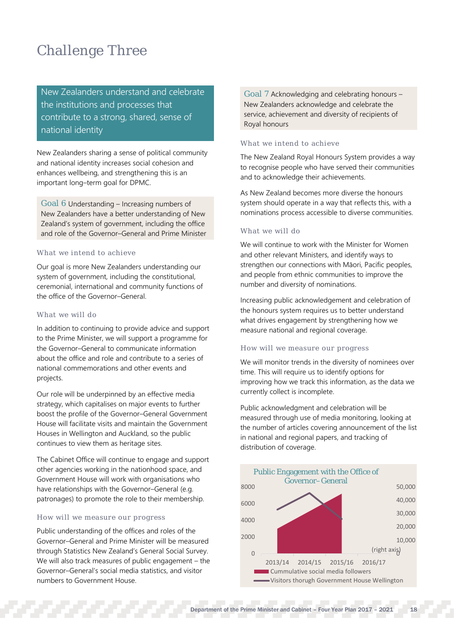## Challenge Three

New Zealanders understand and celebrate the institutions and processes that contribute to a strong, shared, sense of national identity

New Zealanders sharing a sense of political community and national identity increases social cohesion and enhances wellbeing, and strengthening this is an important long–term goal for DPMC.

Goal 6 Understanding – Increasing numbers of New Zealanders have a better understanding of New Zealand's system of government, including the office and role of the Governor–General and Prime Minister

## What we intend to achieve

Our goal is more New Zealanders understanding our system of government, including the constitutional, ceremonial, international and community functions of the office of the Governor–General.

## What we will do

In addition to continuing to provide advice and support to the Prime Minister, we will support a programme for the Governor–General to communicate information about the office and role and contribute to a series of national commemorations and other events and projects.

Our role will be underpinned by an effective media strategy, which capitalises on major events to further boost the profile of the Governor–General Government House will facilitate visits and maintain the Government Houses in Wellington and Auckland, so the public continues to view them as heritage sites.

The Cabinet Office will continue to engage and support other agencies working in the nationhood space, and Government House will work with organisations who have relationships with the Governor–General (e.g. patronages) to promote the role to their membership.

## How will we measure our progress

Public understanding of the offices and roles of the Governor–General and Prime Minister will be measured through Statistics New Zealand's General Social Survey. We will also track measures of public engagement – the Governor–General's social media statistics, and visitor numbers to Government House.

Goal 7 Acknowledging and celebrating honours – New Zealanders acknowledge and celebrate the service, achievement and diversity of recipients of Royal honours

### What we intend to achieve

The New Zealand Royal Honours System provides a way to recognise people who have served their communities and to acknowledge their achievements.

As New Zealand becomes more diverse the honours system should operate in a way that reflects this, with a nominations process accessible to diverse communities.

## What we will do

We will continue to work with the Minister for Women and other relevant Ministers, and identify ways to strengthen our connections with Māori, Pacific peoples, and people from ethnic communities to improve the number and diversity of nominations.

Increasing public acknowledgement and celebration of the honours system requires us to better understand what drives engagement by strengthening how we measure national and regional coverage.

### How will we measure our progress

We will monitor trends in the diversity of nominees over time. This will require us to identify options for improving how we track this information, as the data we currently collect is incomplete.

Public acknowledgment and celebration will be measured through use of media monitoring, looking at the number of articles covering announcement of the list in national and regional papers, and tracking of distribution of coverage.

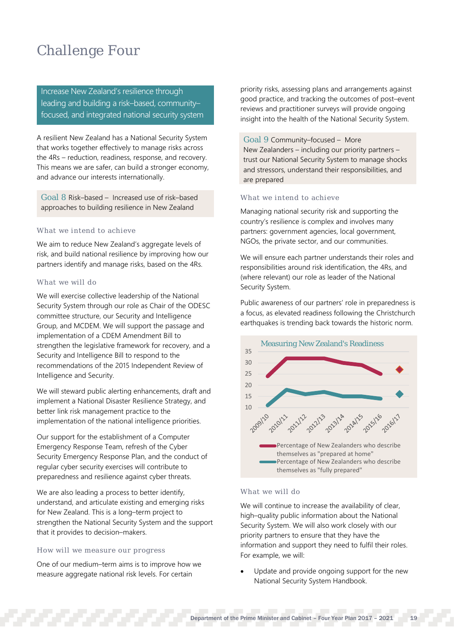## Challenge Four

Increase New Zealand's resilience through leading and building a risk–based, community– focused, and integrated national security system

A resilient New Zealand has a National Security System that works together effectively to manage risks across the 4Rs – reduction, readiness, response, and recovery. This means we are safer, can build a stronger economy, and advance our interests internationally.

Goal 8 Risk–based – Increased use of risk–based approaches to building resilience in New Zealand

## What we intend to achieve

We aim to reduce New Zealand's aggregate levels of risk, and build national resilience by improving how our partners identify and manage risks, based on the 4Rs.

## What we will do

We will exercise collective leadership of the National Security System through our role as Chair of the ODESC committee structure, our Security and Intelligence Group, and MCDEM. We will support the passage and implementation of a CDEM Amendment Bill to strengthen the legislative framework for recovery, and a Security and Intelligence Bill to respond to the recommendations of the 2015 Independent Review of Intelligence and Security.

We will steward public alerting enhancements, draft and implement a National Disaster Resilience Strategy, and better link risk management practice to the implementation of the national intelligence priorities.

Our support for the establishment of a Computer Emergency Response Team, refresh of the Cyber Security Emergency Response Plan, and the conduct of regular cyber security exercises will contribute to preparedness and resilience against cyber threats.

We are also leading a process to better identify, understand, and articulate existing and emerging risks for New Zealand. This is a long–term project to strengthen the National Security System and the support that it provides to decision–makers.

## How will we measure our progress

One of our medium–term aims is to improve how we measure aggregate national risk levels. For certain

priority risks, assessing plans and arrangements against good practice, and tracking the outcomes of post–event reviews and practitioner surveys will provide ongoing insight into the health of the National Security System.

## Goal 9 Community–focused – More

New Zealanders – including our priority partners – trust our National Security System to manage shocks and stressors, understand their responsibilities, and are prepared

### What we intend to achieve

Managing national security risk and supporting the country's resilience is complex and involves many partners: government agencies, local government, NGOs, the private sector, and our communities.

We will ensure each partner understands their roles and responsibilities around risk identification, the 4Rs, and (where relevant) our role as leader of the National Security System.

Public awareness of our partners' role in preparedness is a focus, as elevated readiness following the Christchurch earthquakes is trending back towards the historic norm.



### What we will do

We will continue to increase the availability of clear, high–quality public information about the National Security System. We will also work closely with our priority partners to ensure that they have the information and support they need to fulfil their roles. For example, we will:

Update and provide ongoing support for the new National Security System Handbook.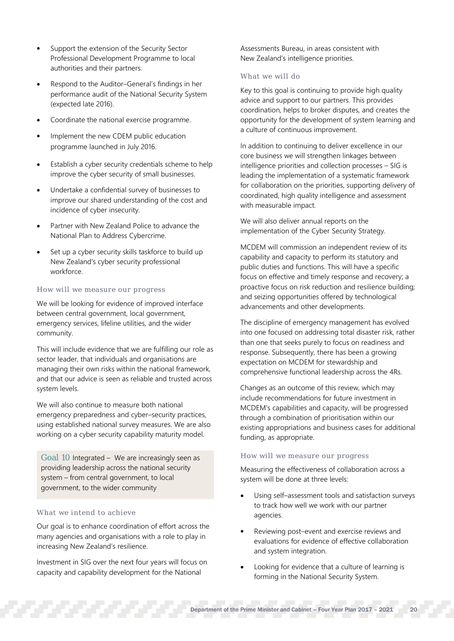- Support the extension of the Security Sector Professional Development Programme to local authorities and their partners.
- Respond to the Auditor–General's findings in her performance audit of the National Security System (expected late 2016).
- Coordinate the national exercise programme.
- Implement the new CDEM public education programme launched in July 2016.
- Establish a cyber security credentials scheme to help improve the cyber security of small businesses.
- Undertake a confidential survey of businesses to improve our shared understanding of the cost and incidence of cyber insecurity.
- Partner with New Zealand Police to advance the National Plan to Address Cybercrime.
- Set up a cyber security skills taskforce to build up New Zealand's cyber security professional workforce.

## How will we measure our progress

We will be looking for evidence of improved interface between central government, local government, emergency services, lifeline utilities, and the wider community.

This will include evidence that we are fulfilling our role as sector leader, that individuals and organisations are managing their own risks within the national framework, and that our advice is seen as reliable and trusted across system levels.

We will also continue to measure both national emergency preparedness and cyber–security practices, using established national survey measures. We are also working on a cyber security capability maturity model.

Goal 10 Integrated – We are increasingly seen as providing leadership across the national security system – from central government, to local government, to the wider community

## What we intend to achieve

Our goal is to enhance coordination of effort across the many agencies and organisations with a role to play in increasing New Zealand's resilience.

Investment in SIG over the next four years will focus on capacity and capability development for the National

Assessments Bureau, in areas consistent with New Zealand's intelligence priorities.

## What we will do

Key to this goal is continuing to provide high quality advice and support to our partners. This provides coordination, helps to broker disputes, and creates the opportunity for the development of system learning and a culture of continuous improvement.

In addition to continuing to deliver excellence in our core business we will strengthen linkages between intelligence priorities and collection processes – SIG is leading the implementation of a systematic framework for collaboration on the priorities, supporting delivery of coordinated, high quality intelligence and assessment with measurable impact.

We will also deliver annual reports on the implementation of the Cyber Security Strategy.

MCDEM will commission an independent review of its capability and capacity to perform its statutory and public duties and functions. This will have a specific focus on effective and timely response and recovery; a proactive focus on risk reduction and resilience building; and seizing opportunities offered by technological advancements and other developments.

The discipline of emergency management has evolved into one focused on addressing total disaster risk, rather than one that seeks purely to focus on readiness and response. Subsequently, there has been a growing expectation on MCDEM for stewardship and comprehensive functional leadership across the 4Rs.

Changes as an outcome of this review, which may include recommendations for future investment in MCDEM's capabilities and capacity, will be progressed through a combination of prioritisation within our existing appropriations and business cases for additional funding, as appropriate.

## How will we measure our progress

Measuring the effectiveness of collaboration across a system will be done at three levels:

- Using self–assessment tools and satisfaction surveys to track how well we work with our partner agencies.
- Reviewing post–event and exercise reviews and evaluations for evidence of effective collaboration and system integration.
- Looking for evidence that a culture of learning is forming in the National Security System.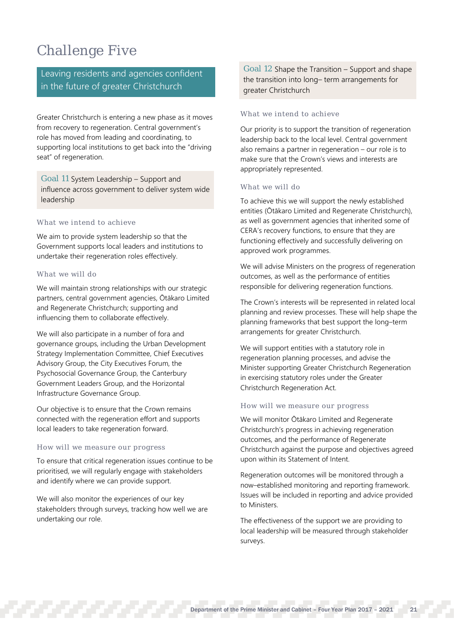## Challenge Five

Leaving residents and agencies confident in the future of greater Christchurch

Greater Christchurch is entering a new phase as it moves from recovery to regeneration. Central government's role has moved from leading and coordinating, to supporting local institutions to get back into the "driving seat" of regeneration.

Goal 11 System Leadership – Support and influence across government to deliver system wide leadership

## What we intend to achieve

We aim to provide system leadership so that the Government supports local leaders and institutions to undertake their regeneration roles effectively.

## What we will do

We will maintain strong relationships with our strategic partners, central government agencies, Ōtākaro Limited and Regenerate Christchurch; supporting and influencing them to collaborate effectively.

We will also participate in a number of fora and governance groups, including the Urban Development Strategy Implementation Committee, Chief Executives Advisory Group, the City Executives Forum, the Psychosocial Governance Group, the Canterbury Government Leaders Group, and the Horizontal Infrastructure Governance Group.

Our objective is to ensure that the Crown remains connected with the regeneration effort and supports local leaders to take regeneration forward.

## How will we measure our progress

To ensure that critical regeneration issues continue to be prioritised, we will regularly engage with stakeholders and identify where we can provide support.

We will also monitor the experiences of our key stakeholders through surveys, tracking how well we are undertaking our role.

Goal 12 Shape the Transition – Support and shape the transition into long– term arrangements for greater Christchurch

## What we intend to achieve

Our priority is to support the transition of regeneration leadership back to the local level. Central government also remains a partner in regeneration – our role is to make sure that the Crown's views and interests are appropriately represented.

## What we will do

To achieve this we will support the newly established entities (Ōtākaro Limited and Regenerate Christchurch), as well as government agencies that inherited some of CERA's recovery functions, to ensure that they are functioning effectively and successfully delivering on approved work programmes.

We will advise Ministers on the progress of regeneration outcomes, as well as the performance of entities responsible for delivering regeneration functions.

The Crown's interests will be represented in related local planning and review processes. These will help shape the planning frameworks that best support the long–term arrangements for greater Christchurch.

We will support entities with a statutory role in regeneration planning processes, and advise the Minister supporting Greater Christchurch Regeneration in exercising statutory roles under the Greater Christchurch Regeneration Act.

## How will we measure our progress

We will monitor Ōtākaro Limited and Regenerate Christchurch's progress in achieving regeneration outcomes, and the performance of Regenerate Christchurch against the purpose and objectives agreed upon within its Statement of Intent.

Regeneration outcomes will be monitored through a now–established monitoring and reporting framework. Issues will be included in reporting and advice provided to Ministers.

The effectiveness of the support we are providing to local leadership will be measured through stakeholder surveys.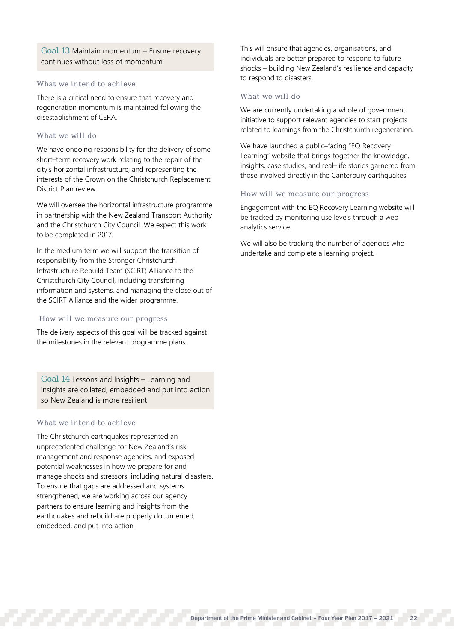Goal 13 Maintain momentum – Ensure recovery continues without loss of momentum

## What we intend to achieve

There is a critical need to ensure that recovery and regeneration momentum is maintained following the disestablishment of CERA.

## What we will do

We have ongoing responsibility for the delivery of some short–term recovery work relating to the repair of the city's horizontal infrastructure, and representing the interests of the Crown on the Christchurch Replacement District Plan review.

We will oversee the horizontal infrastructure programme in partnership with the New Zealand Transport Authority and the Christchurch City Council. We expect this work to be completed in 2017.

In the medium term we will support the transition of responsibility from the Stronger Christchurch Infrastructure Rebuild Team (SCIRT) Alliance to the Christchurch City Council, including transferring information and systems, and managing the close out of the SCIRT Alliance and the wider programme.

## How will we measure our progress

The delivery aspects of this goal will be tracked against the milestones in the relevant programme plans.

Goal 14 Lessons and Insights – Learning and insights are collated, embedded and put into action so New Zealand is more resilient

## What we intend to achieve

The Christchurch earthquakes represented an unprecedented challenge for New Zealand's risk management and response agencies, and exposed potential weaknesses in how we prepare for and manage shocks and stressors, including natural disasters. To ensure that gaps are addressed and systems strengthened, we are working across our agency partners to ensure learning and insights from the earthquakes and rebuild are properly documented, embedded, and put into action.

This will ensure that agencies, organisations, and individuals are better prepared to respond to future shocks – building New Zealand's resilience and capacity to respond to disasters.

## What we will do

We are currently undertaking a whole of government initiative to support relevant agencies to start projects related to learnings from the Christchurch regeneration.

We have launched a public–facing "EQ Recovery Learning" website that brings together the knowledge, insights, case studies, and real–life stories garnered from those involved directly in the Canterbury earthquakes.

### How will we measure our progress

Engagement with the EQ Recovery Learning website will be tracked by monitoring use levels through a web analytics service.

We will also be tracking the number of agencies who undertake and complete a learning project.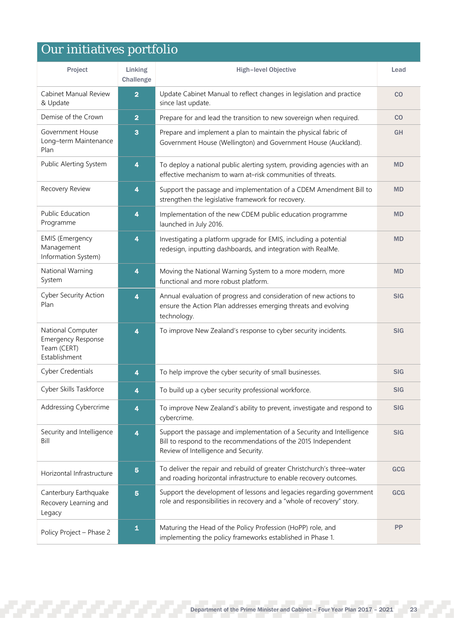## Our initiatives portfolio

| Project                                                                        | Linking<br>Challenge    | High-level Objective                                                                                                                                                            | Lead       |
|--------------------------------------------------------------------------------|-------------------------|---------------------------------------------------------------------------------------------------------------------------------------------------------------------------------|------------|
| Cabinet Manual Review<br>& Update                                              | $\overline{\mathbf{2}}$ | Update Cabinet Manual to reflect changes in legislation and practice<br>since last update.                                                                                      | CO         |
| Demise of the Crown                                                            | $\overline{2}$          | Prepare for and lead the transition to new sovereign when required.                                                                                                             | CO         |
| Government House<br>Long-term Maintenance<br>Plan                              | 3                       | Prepare and implement a plan to maintain the physical fabric of<br>Government House (Wellington) and Government House (Auckland).                                               | GH         |
| Public Alerting System                                                         | 4                       | To deploy a national public alerting system, providing agencies with an<br>effective mechanism to warn at-risk communities of threats.                                          | <b>MD</b>  |
| Recovery Review                                                                | 4                       | Support the passage and implementation of a CDEM Amendment Bill to<br>strengthen the legislative framework for recovery.                                                        | <b>MD</b>  |
| <b>Public Education</b><br>Programme                                           | 4                       | Implementation of the new CDEM public education programme<br>launched in July 2016.                                                                                             | <b>MD</b>  |
| <b>EMIS (Emergency</b><br>Management<br>Information System)                    | 4                       | Investigating a platform upgrade for EMIS, including a potential<br>redesign, inputting dashboards, and integration with RealMe.                                                | <b>MD</b>  |
| National Warning<br>System                                                     | 4                       | Moving the National Warning System to a more modern, more<br>functional and more robust platform.                                                                               | <b>MD</b>  |
| <b>Cyber Security Action</b><br>Plan                                           | 4                       | Annual evaluation of progress and consideration of new actions to<br>ensure the Action Plan addresses emerging threats and evolving<br>technology.                              | <b>SIG</b> |
| National Computer<br><b>Emergency Response</b><br>Team (CERT)<br>Establishment | 4                       | To improve New Zealand's response to cyber security incidents.                                                                                                                  | <b>SIG</b> |
| <b>Cyber Credentials</b>                                                       | 4                       | To help improve the cyber security of small businesses.                                                                                                                         | <b>SIG</b> |
| Cyber Skills Taskforce                                                         | 4                       | To build up a cyber security professional workforce.                                                                                                                            | <b>SIG</b> |
| Addressing Cybercrime                                                          | 4                       | To improve New Zealand's ability to prevent, investigate and respond to<br>cybercrime.                                                                                          | <b>SIG</b> |
| Security and Intelligence<br>Bill                                              | $\overline{\mathbf{4}}$ | Support the passage and implementation of a Security and Intelligence<br>Bill to respond to the recommendations of the 2015 Independent<br>Review of Intelligence and Security. | <b>SIG</b> |
| Horizontal Infrastructure                                                      | 5                       | To deliver the repair and rebuild of greater Christchurch's three-water<br>and roading horizontal infrastructure to enable recovery outcomes.                                   | GCG        |
| Canterbury Earthquake<br>Recovery Learning and<br>Legacy                       | 5                       | Support the development of lessons and legacies regarding government<br>role and responsibilities in recovery and a "whole of recovery" story.                                  | GCG        |
| Policy Project - Phase 2                                                       | $\blacktriangle$        | Maturing the Head of the Policy Profession (HoPP) role, and<br>implementing the policy frameworks established in Phase 1.                                                       | PP         |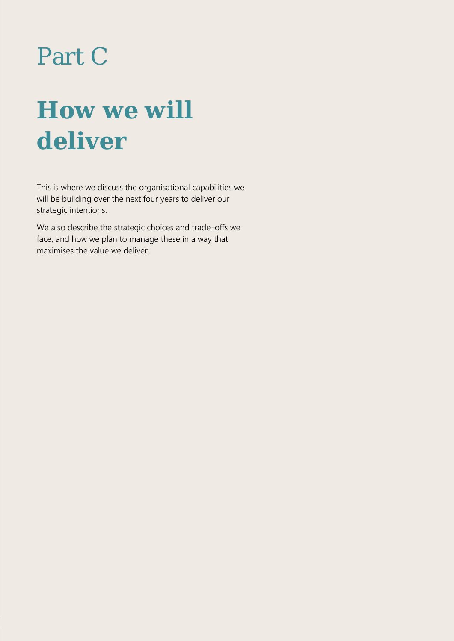# Part C

# **How we will deliver**

This is where we discuss the organisational capabilities we will be building over the next four years to deliver our strategic intentions.

We also describe the strategic choices and trade–offs we face, and how we plan to manage these in a way that maximises the value we deliver.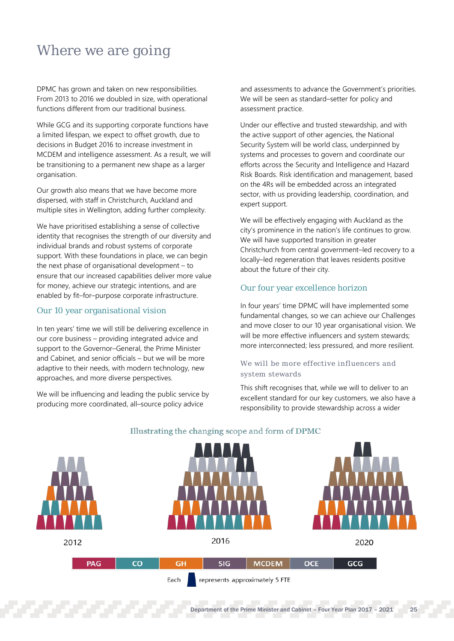## <span id="page-26-0"></span>Where we are going

DPMC has grown and taken on new responsibilities. From 2013 to 2016 we doubled in size, with operational functions different from our traditional business.

While GCG and its supporting corporate functions have a limited lifespan, we expect to offset growth, due to decisions in Budget 2016 to increase investment in MCDEM and intelligence assessment. As a result, we will be transitioning to a permanent new shape as a larger organisation.

Our growth also means that we have become more dispersed, with staff in Christchurch, Auckland and multiple sites in Wellington, adding further complexity.

We have prioritised establishing a sense of collective identity that recognises the strength of our diversity and individual brands and robust systems of corporate support. With these foundations in place, we can begin the next phase of organisational development – to ensure that our increased capabilities deliver more value for money, achieve our strategic intentions, and are enabled by fit–for–purpose corporate infrastructure.

## Our 10 year organisational vision

In ten years' time we will still be delivering excellence in our core business – providing integrated advice and support to the Governor–General, the Prime Minister and Cabinet, and senior officials – but we will be more adaptive to their needs, with modern technology, new approaches, and more diverse perspectives.

We will be influencing and leading the public service by producing more coordinated, all–source policy advice

and assessments to advance the Government's priorities. We will be seen as standard–setter for policy and assessment practice.

Under our effective and trusted stewardship, and with the active support of other agencies, the National Security System will be world class, underpinned by systems and processes to govern and coordinate our efforts across the Security and Intelligence and Hazard Risk Boards. Risk identification and management, based on the 4Rs will be embedded across an integrated sector, with us providing leadership, coordination, and expert support.

We will be effectively engaging with Auckland as the city's prominence in the nation's life continues to grow. We will have supported transition in greater Christchurch from central government–led recovery to a locally–led regeneration that leaves residents positive about the future of their city.

## Our four year excellence horizon

In four years' time DPMC will have implemented some fundamental changes, so we can achieve our Challenges and move closer to our 10 year organisational vision. We will be more effective influencers and system stewards; more interconnected; less pressured, and more resilient.

## We will be more effective influencers and system stewards

This shift recognises that, while we will to deliver to an excellent standard for our key customers, we also have a responsibility to provide stewardship across a wider



## Illustrating the changing scope and form of DPMC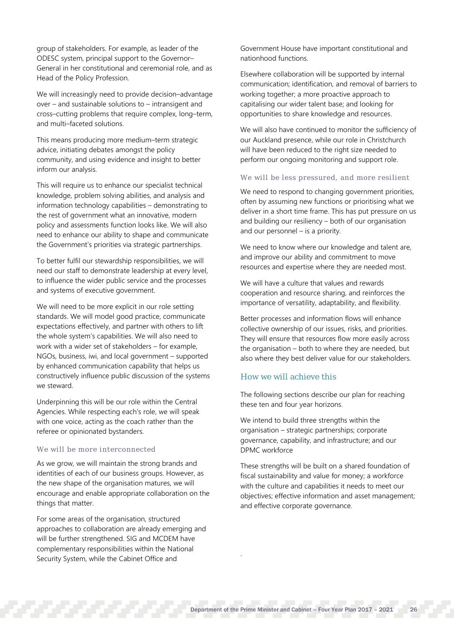group of stakeholders. For example, as leader of the ODESC system, principal support to the Governor– General in her constitutional and ceremonial role, and as Head of the Policy Profession.

We will increasingly need to provide decision–advantage over – and sustainable solutions to – intransigent and cross–cutting problems that require complex, long–term, and multi–faceted solutions.

This means producing more medium–term strategic advice, initiating debates amongst the policy community, and using evidence and insight to better inform our analysis.

This will require us to enhance our specialist technical knowledge, problem solving abilities, and analysis and information technology capabilities – demonstrating to the rest of government what an innovative, modern policy and assessments function looks like. We will also need to enhance our ability to shape and communicate the Government's priorities via strategic partnerships.

To better fulfil our stewardship responsibilities, we will need our staff to demonstrate leadership at every level, to influence the wider public service and the processes and systems of executive government.

We will need to be more explicit in our role setting standards. We will model good practice, communicate expectations effectively, and partner with others to lift the whole system's capabilities. We will also need to work with a wider set of stakeholders – for example, NGOs, business, iwi, and local government – supported by enhanced communication capability that helps us constructively influence public discussion of the systems we steward.

Underpinning this will be our role within the Central Agencies. While respecting each's role, we will speak with one voice, acting as the coach rather than the referee or opinionated bystanders.

## We will be more interconnected

As we grow, we will maintain the strong brands and identities of each of our business groups. However, as the new shape of the organisation matures, we will encourage and enable appropriate collaboration on the things that matter.

For some areas of the organisation, structured approaches to collaboration are already emerging and will be further strengthened. SIG and MCDEM have complementary responsibilities within the National Security System, while the Cabinet Office and

Government House have important constitutional and nationhood functions.

Elsewhere collaboration will be supported by internal communication; identification, and removal of barriers to working together; a more proactive approach to capitalising our wider talent base; and looking for opportunities to share knowledge and resources.

We will also have continued to monitor the sufficiency of our Auckland presence, while our role in Christchurch will have been reduced to the right size needed to perform our ongoing monitoring and support role.

### We will be less pressured, and more resilient

We need to respond to changing government priorities, often by assuming new functions or prioritising what we deliver in a short time frame. This has put pressure on us and building our resiliency – both of our organisation and our personnel – is a priority.

We need to know where our knowledge and talent are, and improve our ability and commitment to move resources and expertise where they are needed most.

We will have a culture that values and rewards cooperation and resource sharing, and reinforces the importance of versatility, adaptability, and flexibility.

Better processes and information flows will enhance collective ownership of our issues, risks, and priorities. They will ensure that resources flow more easily across the organisation – both to where they are needed, but also where they best deliver value for our stakeholders.

## How we will achieve this

The following sections describe our plan for reaching these ten and four year horizons.

We intend to build three strengths within the organisation – strategic partnerships; corporate governance, capability, and infrastructure; and our DPMC workforce

These strengths will be built on a shared foundation of fiscal sustainability and value for money; a workforce with the culture and capabilities it needs to meet our objectives; effective information and asset management; and effective corporate governance.

.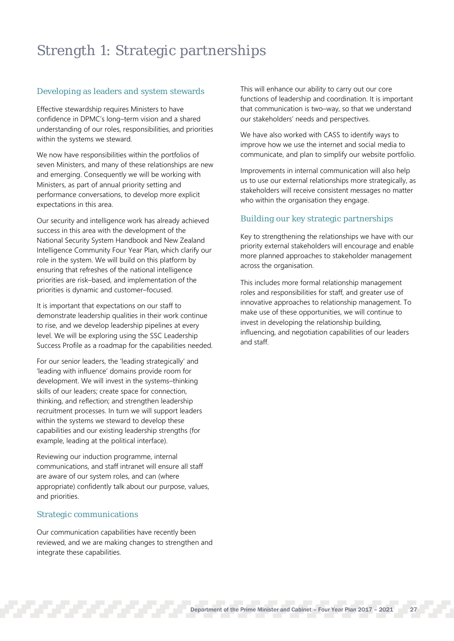## Strength 1: Strategic partnerships

## Developing as leaders and system stewards

Effective stewardship requires Ministers to have confidence in DPMC's long–term vision and a shared understanding of our roles, responsibilities, and priorities within the systems we steward.

We now have responsibilities within the portfolios of seven Ministers, and many of these relationships are new and emerging. Consequently we will be working with Ministers, as part of annual priority setting and performance conversations, to develop more explicit expectations in this area.

Our security and intelligence work has already achieved success in this area with the development of the National Security System Handbook and New Zealand Intelligence Community Four Year Plan, which clarify our role in the system. We will build on this platform by ensuring that refreshes of the national intelligence priorities are risk–based, and implementation of the priorities is dynamic and customer–focused.

It is important that expectations on our staff to demonstrate leadership qualities in their work continue to rise, and we develop leadership pipelines at every level. We will be exploring using the SSC Leadership Success Profile as a roadmap for the capabilities needed.

For our senior leaders, the 'leading strategically' and 'leading with influence' domains provide room for development. We will invest in the systems–thinking skills of our leaders; create space for connection, thinking, and reflection; and strengthen leadership recruitment processes. In turn we will support leaders within the systems we steward to develop these capabilities and our existing leadership strengths (for example, leading at the political interface).

Reviewing our induction programme, internal communications, and staff intranet will ensure all staff are aware of our system roles, and can (where appropriate) confidently talk about our purpose, values, and priorities.

## Strategic communications

Our communication capabilities have recently been reviewed, and we are making changes to strengthen and integrate these capabilities.

This will enhance our ability to carry out our core functions of leadership and coordination. It is important that communication is two–way, so that we understand our stakeholders' needs and perspectives.

We have also worked with CASS to identify ways to improve how we use the internet and social media to communicate, and plan to simplify our website portfolio.

Improvements in internal communication will also help us to use our external relationships more strategically, as stakeholders will receive consistent messages no matter who within the organisation they engage.

## Building our key strategic partnerships

Key to strengthening the relationships we have with our priority external stakeholders will encourage and enable more planned approaches to stakeholder management across the organisation.

This includes more formal relationship management roles and responsibilities for staff, and greater use of innovative approaches to relationship management. To make use of these opportunities, we will continue to invest in developing the relationship building, influencing, and negotiation capabilities of our leaders and staff.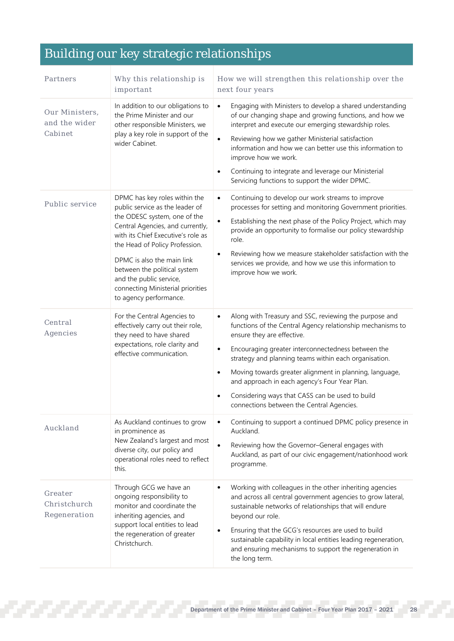## Building our key strategic relationships

| Partners                                   | Why this relationship is<br>important                                                                                                                                                                                                                                                                                                                                | How we will strengthen this relationship over the<br>next four years                                                                                                                                                                                                                                                                                                                                                                                                                                                              |  |
|--------------------------------------------|----------------------------------------------------------------------------------------------------------------------------------------------------------------------------------------------------------------------------------------------------------------------------------------------------------------------------------------------------------------------|-----------------------------------------------------------------------------------------------------------------------------------------------------------------------------------------------------------------------------------------------------------------------------------------------------------------------------------------------------------------------------------------------------------------------------------------------------------------------------------------------------------------------------------|--|
| Our Ministers.<br>and the wider<br>Cabinet | In addition to our obligations to<br>the Prime Minister and our<br>other responsible Ministers, we<br>play a key role in support of the<br>wider Cabinet.                                                                                                                                                                                                            | Engaging with Ministers to develop a shared understanding<br>$\bullet$<br>of our changing shape and growing functions, and how we<br>interpret and execute our emerging stewardship roles.<br>Reviewing how we gather Ministerial satisfaction<br>$\bullet$<br>information and how we can better use this information to<br>improve how we work.<br>Continuing to integrate and leverage our Ministerial<br>$\bullet$<br>Servicing functions to support the wider DPMC.                                                           |  |
| Public service                             | DPMC has key roles within the<br>public service as the leader of<br>the ODESC system, one of the<br>Central Agencies, and currently,<br>with its Chief Executive's role as<br>the Head of Policy Profession.<br>DPMC is also the main link<br>between the political system<br>and the public service,<br>connecting Ministerial priorities<br>to agency performance. | Continuing to develop our work streams to improve<br>$\bullet$<br>processes for setting and monitoring Government priorities.<br>Establishing the next phase of the Policy Project, which may<br>$\bullet$<br>provide an opportunity to formalise our policy stewardship<br>role.<br>Reviewing how we measure stakeholder satisfaction with the<br>$\bullet$<br>services we provide, and how we use this information to<br>improve how we work.                                                                                   |  |
| Central<br>Agencies                        | For the Central Agencies to<br>effectively carry out their role,<br>they need to have shared<br>expectations, role clarity and<br>effective communication.                                                                                                                                                                                                           | Along with Treasury and SSC, reviewing the purpose and<br>$\bullet$<br>functions of the Central Agency relationship mechanisms to<br>ensure they are effective.<br>Encouraging greater interconnectedness between the<br>$\bullet$<br>strategy and planning teams within each organisation.<br>Moving towards greater alignment in planning, language,<br>$\bullet$<br>and approach in each agency's Four Year Plan.<br>Considering ways that CASS can be used to build<br>$\bullet$<br>connections between the Central Agencies. |  |
| Auckland                                   | As Auckland continues to grow<br>in prominence as<br>New Zealand's largest and most<br>diverse city, our policy and<br>operational roles need to reflect<br>this.                                                                                                                                                                                                    | Continuing to support a continued DPMC policy presence in<br>$\bullet$<br>Auckland.<br>$\bullet$<br>Reviewing how the Governor-General engages with<br>Auckland, as part of our civic engagement/nationhood work<br>programme.                                                                                                                                                                                                                                                                                                    |  |
| Greater<br>Christchurch<br>Regeneration    | Through GCG we have an<br>ongoing responsibility to<br>monitor and coordinate the<br>inheriting agencies, and<br>support local entities to lead<br>the regeneration of greater<br>Christchurch.                                                                                                                                                                      | Working with colleagues in the other inheriting agencies<br>$\bullet$<br>and across all central government agencies to grow lateral,<br>sustainable networks of relationships that will endure<br>beyond our role.<br>Ensuring that the GCG's resources are used to build<br>٠<br>sustainable capability in local entities leading regeneration,<br>and ensuring mechanisms to support the regeneration in<br>the long term.                                                                                                      |  |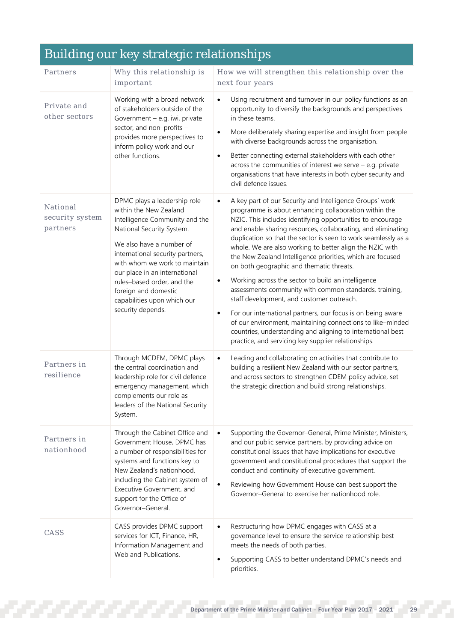#### Partners Why this relationship is important How we will strengthen this relationship over the next four years Private and other sectors Working with a broad network of stakeholders outside of the Government – e.g. iwi, private sector, and non–profits – provides more perspectives to inform policy work and our other functions. • Using recruitment and turnover in our policy functions as an opportunity to diversify the backgrounds and perspectives in these teams. • More deliberately sharing expertise and insight from people with diverse backgrounds across the organisation. Better connecting external stakeholders with each other across the communities of interest we serve – e.g. private organisations that have interests in both cyber security and civil defence issues. National security system partners DPMC plays a leadership role within the New Zealand Intelligence Community and the National Security System. We also have a number of international security partners, with whom we work to maintain our place in an international rules–based order, and the foreign and domestic capabilities upon which our security depends. • A key part of our Security and Intelligence Groups' work programme is about enhancing collaboration within the NZIC. This includes identifying opportunities to encourage and enable sharing resources, collaborating, and eliminating duplication so that the sector is seen to work seamlessly as a whole. We are also working to better align the NZIC with the New Zealand Intelligence priorities, which are focused on both geographic and thematic threats. • Working across the sector to build an intelligence assessments community with common standards, training, staff development, and customer outreach. • For our international partners, our focus is on being aware of our environment, maintaining connections to like–minded countries, understanding and aligning to international best practice, and servicing key supplier relationships. Partners in resilience Through MCDEM, DPMC plays the central coordination and leadership role for civil defence emergency management, which complements our role as leaders of the National Security System. Leading and collaborating on activities that contribute to building a resilient New Zealand with our sector partners, and across sectors to strengthen CDEM policy advice, set the strategic direction and build strong relationships. Partners in nationhood Through the Cabinet Office and Government House, DPMC has a number of responsibilities for systems and functions key to New Zealand's nationhood, including the Cabinet system of Executive Government, and support for the Office of Governor–General. • Supporting the Governor–General, Prime Minister, Ministers, and our public service partners, by providing advice on constitutional issues that have implications for executive government and constitutional procedures that support the conduct and continuity of executive government. Reviewing how Government House can best support the Governor–General to exercise her nationhood role. CASS CASS provides DPMC support services for ICT, Finance, HR, Information Management and Web and Publications. • Restructuring how DPMC engages with CASS at a governance level to ensure the service relationship best meets the needs of both parties. Supporting CASS to better understand DPMC's needs and

Building our key strategic relationships

priorities.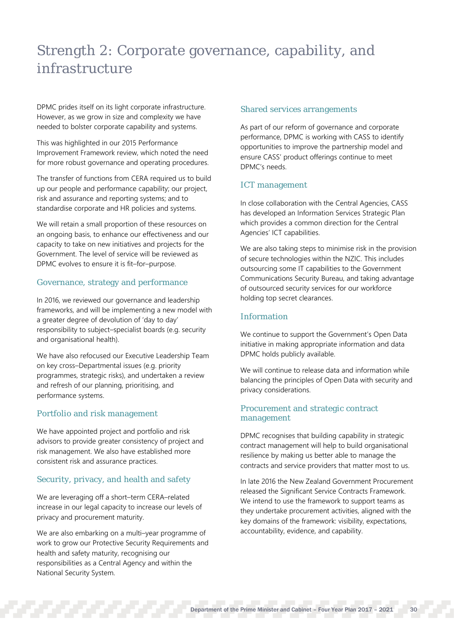## Strength 2: Corporate governance, capability, and infrastructure

DPMC prides itself on its light corporate infrastructure. However, as we grow in size and complexity we have needed to bolster corporate capability and systems.

This was highlighted in our 2015 Performance Improvement Framework review, which noted the need for more robust governance and operating procedures.

The transfer of functions from CERA required us to build up our people and performance capability; our project, risk and assurance and reporting systems; and to standardise corporate and HR policies and systems.

We will retain a small proportion of these resources on an ongoing basis, to enhance our effectiveness and our capacity to take on new initiatives and projects for the Government. The level of service will be reviewed as DPMC evolves to ensure it is fit–for–purpose.

## Governance, strategy and performance

In 2016, we reviewed our governance and leadership frameworks, and will be implementing a new model with a greater degree of devolution of 'day to day' responsibility to subject–specialist boards (e.g. security and organisational health).

We have also refocused our Executive Leadership Team on key cross–Departmental issues (e.g. priority programmes, strategic risks), and undertaken a review and refresh of our planning, prioritising, and performance systems.

## Portfolio and risk management

We have appointed project and portfolio and risk advisors to provide greater consistency of project and risk management. We also have established more consistent risk and assurance practices.

## Security, privacy, and health and safety

We are leveraging off a short–term CERA–related increase in our legal capacity to increase our levels of privacy and procurement maturity.

We are also embarking on a multi–year programme of work to grow our Protective Security Requirements and health and safety maturity, recognising our responsibilities as a Central Agency and within the National Security System.

## Shared services arrangements

As part of our reform of governance and corporate performance, DPMC is working with CASS to identify opportunities to improve the partnership model and ensure CASS' product offerings continue to meet DPMC's needs.

## ICT management

In close collaboration with the Central Agencies, CASS has developed an Information Services Strategic Plan which provides a common direction for the Central Agencies' ICT capabilities.

We are also taking steps to minimise risk in the provision of secure technologies within the NZIC. This includes outsourcing some IT capabilities to the Government Communications Security Bureau, and taking advantage of outsourced security services for our workforce holding top secret clearances.

## Information

We continue to support the Government's Open Data initiative in making appropriate information and data DPMC holds publicly available.

We will continue to release data and information while balancing the principles of Open Data with security and privacy considerations.

## Procurement and strategic contract management

DPMC recognises that building capability in strategic contract management will help to build organisational resilience by making us better able to manage the contracts and service providers that matter most to us.

In late 2016 the New Zealand Government Procurement released the Significant Service Contracts Framework. We intend to use the framework to support teams as they undertake procurement activities, aligned with the key domains of the framework: visibility, expectations, accountability, evidence, and capability.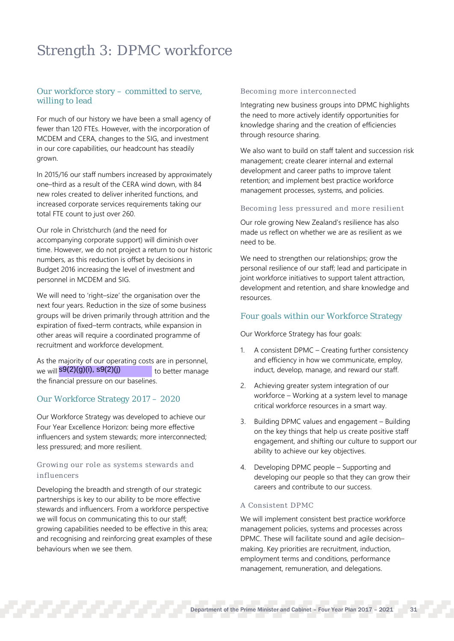## Strength 3: DPMC workforce

## Our workforce story – committed to serve, willing to lead

For much of our history we have been a small agency of fewer than 120 FTEs. However, with the incorporation of MCDEM and CERA, changes to the SIG, and investment in our core capabilities, our headcount has steadily grown.

In 2015/16 our staff numbers increased by approximately one–third as a result of the CERA wind down, with 84 new roles created to deliver inherited functions, and increased corporate services requirements taking our total FTE count to just over 260.

Our role in Christchurch (and the need for accompanying corporate support) will diminish over time. However, we do not project a return to our historic numbers, as this reduction is offset by decisions in Budget 2016 increasing the level of investment and personnel in MCDEM and SIG.

We will need to 'right-size' the organisation over the next four years. Reduction in the size of some business groups will be driven primarily through attrition and the expiration of fixed–term contracts, while expansion in other areas will require a coordinated programme of recruitment and workforce development.

As the majority of our operating costs are in personnel, we will <mark>s9(2)(g)(i), s9(2)(j) to better manage</mark> the financial pressure on our baselines.

## Our Workforce Strategy 2017 – 2020

Our Workforce Strategy was developed to achieve our Four Year Excellence Horizon: being more effective influencers and system stewards; more interconnected; less pressured; and more resilient.

## Growing our role as systems stewards and influencers

Developing the breadth and strength of our strategic partnerships is key to our ability to be more effective stewards and influencers. From a workforce perspective we will focus on communicating this to our staff; growing capabilities needed to be effective in this area; and recognising and reinforcing great examples of these behaviours when we see them.

### Becoming more interconnected

Integrating new business groups into DPMC highlights the need to more actively identify opportunities for knowledge sharing and the creation of efficiencies through resource sharing.

We also want to build on staff talent and succession risk management; create clearer internal and external development and career paths to improve talent retention; and implement best practice workforce management processes, systems, and policies.

## Becoming less pressured and more resilient

Our role growing New Zealand's resilience has also made us reflect on whether we are as resilient as we need to be.

We need to strengthen our relationships; grow the personal resilience of our staff; lead and participate in joint workforce initiatives to support talent attraction, development and retention, and share knowledge and resources.

## Four goals within our Workforce Strategy

Our Workforce Strategy has four goals:

- 1. A consistent DPMC Creating further consistency and efficiency in how we communicate, employ, induct, develop, manage, and reward our staff.
- 2. Achieving greater system integration of our workforce – Working at a system level to manage critical workforce resources in a smart way.
- 3. Building DPMC values and engagement Building on the key things that help us create positive staff engagement, and shifting our culture to support our ability to achieve our key objectives.
- 4. Developing DPMC people Supporting and developing our people so that they can grow their careers and contribute to our success.

## A Consistent DPMC

We will implement consistent best practice workforce management policies, systems and processes across DPMC. These will facilitate sound and agile decision– making. Key priorities are recruitment, induction, employment terms and conditions, performance management, remuneration, and delegations.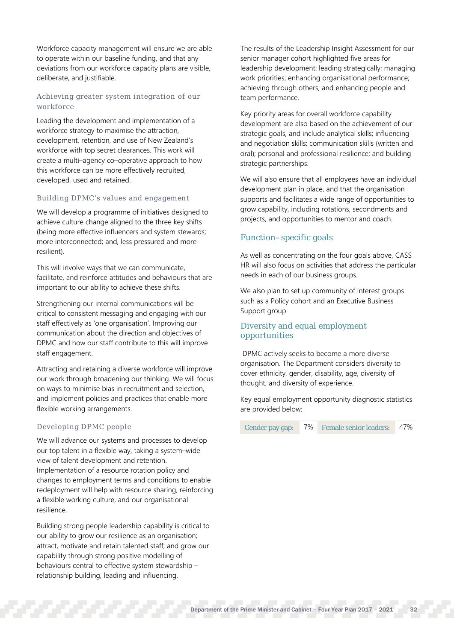Workforce capacity management will ensure we are able to operate within our baseline funding, and that any deviations from our workforce capacity plans are visible, deliberate, and justifiable.

## Achieving greater system integration of our workforce

Leading the development and implementation of a workforce strategy to maximise the attraction, development, retention, and use of New Zealand's workforce with top secret clearances. This work will create a multi–agency co–operative approach to how this workforce can be more effectively recruited, developed, used and retained.

## Building DPMC's values and engagement

We will develop a programme of initiatives designed to achieve culture change aligned to the three key shifts (being more effective influencers and system stewards; more interconnected; and, less pressured and more resilient).

This will involve ways that we can communicate, facilitate, and reinforce attitudes and behaviours that are important to our ability to achieve these shifts.

Strengthening our internal communications will be critical to consistent messaging and engaging with our staff effectively as 'one organisation'. Improving our communication about the direction and objectives of DPMC and how our staff contribute to this will improve staff engagement.

Attracting and retaining a diverse workforce will improve our work through broadening our thinking. We will focus on ways to minimise bias in recruitment and selection, and implement policies and practices that enable more flexible working arrangements.

## Developing DPMC people

We will advance our systems and processes to develop our top talent in a flexible way, taking a system–wide view of talent development and retention. Implementation of a resource rotation policy and changes to employment terms and conditions to enable redeployment will help with resource sharing, reinforcing a flexible working culture, and our organisational resilience.

Building strong people leadership capability is critical to our ability to grow our resilience as an organisation; attract, motivate and retain talented staff; and grow our capability through strong positive modelling of behaviours central to effective system stewardship – relationship building, leading and influencing.

The results of the Leadership Insight Assessment for our senior manager cohort highlighted five areas for leadership development: leading strategically; managing work priorities; enhancing organisational performance; achieving through others; and enhancing people and team performance.

Key priority areas for overall workforce capability development are also based on the achievement of our strategic goals, and include analytical skills; influencing and negotiation skills; communication skills (written and oral); personal and professional resilience; and building strategic partnerships.

We will also ensure that all employees have an individual development plan in place, and that the organisation supports and facilitates a wide range of opportunities to grow capability, including rotations, secondments and projects, and opportunities to mentor and coach.

## Function–specific goals

As well as concentrating on the four goals above, CASS HR will also focus on activities that address the particular needs in each of our business groups.

We also plan to set up community of interest groups such as a Policy cohort and an Executive Business Support group.

## Diversity and equal employment opportunities

DPMC actively seeks to become a more diverse organisation. The Department considers diversity to cover ethnicity, gender, disability, age, diversity of thought, and diversity of experience.

Key equal employment opportunity diagnostic statistics are provided below:

| Gender pay gap: | 7% | <b>Female senior leaders:</b> | 47% |
|-----------------|----|-------------------------------|-----|
|-----------------|----|-------------------------------|-----|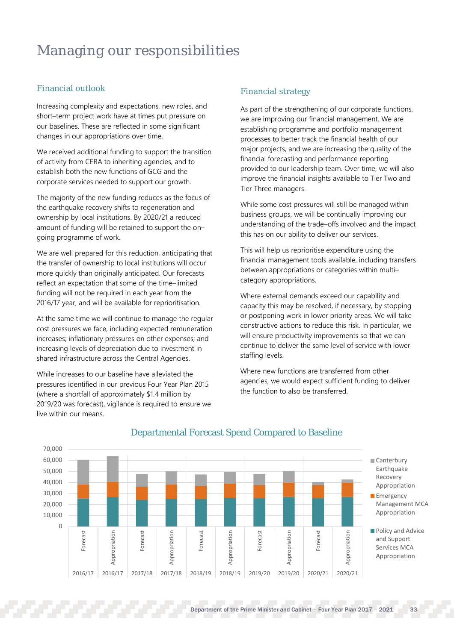## Managing our responsibilities

## Financial outlook

Increasing complexity and expectations, new roles, and short–term project work have at times put pressure on our baselines. These are reflected in some significant changes in our appropriations over time.

We received additional funding to support the transition of activity from CERA to inheriting agencies, and to establish both the new functions of GCG and the corporate services needed to support our growth.

The majority of the new funding reduces as the focus of the earthquake recovery shifts to regeneration and ownership by local institutions. By 2020/21 a reduced amount of funding will be retained to support the on– going programme of work.

We are well prepared for this reduction, anticipating that the transfer of ownership to local institutions will occur more quickly than originally anticipated. Our forecasts reflect an expectation that some of the time–limited funding will not be required in each year from the 2016/17 year, and will be available for reprioritisation.

At the same time we will continue to manage the regular cost pressures we face, including expected remuneration increases; inflationary pressures on other expenses; and increasing levels of depreciation due to investment in shared infrastructure across the Central Agencies.

While increases to our baseline have alleviated the pressures identified in our previous Four Year Plan 2015 (where a shortfall of approximately \$1.4 million by 2019/20 was forecast), vigilance is required to ensure we live within our means.

## Financial strategy

As part of the strengthening of our corporate functions, we are improving our financial management. We are establishing programme and portfolio management processes to better track the financial health of our major projects, and we are increasing the quality of the financial forecasting and performance reporting provided to our leadership team. Over time, we will also improve the financial insights available to Tier Two and Tier Three managers.

While some cost pressures will still be managed within business groups, we will be continually improving our understanding of the trade–offs involved and the impact this has on our ability to deliver our services.

This will help us reprioritise expenditure using the financial management tools available, including transfers between appropriations or categories within multi– category appropriations.

Where external demands exceed our capability and capacity this may be resolved, if necessary, by stopping or postponing work in lower priority areas. We will take constructive actions to reduce this risk. In particular, we will ensure productivity improvements so that we can continue to deliver the same level of service with lower staffing levels.

Where new functions are transferred from other agencies, we would expect sufficient funding to deliver the function to also be transferred.



## Departmental Forecast Spend Compared to Baseline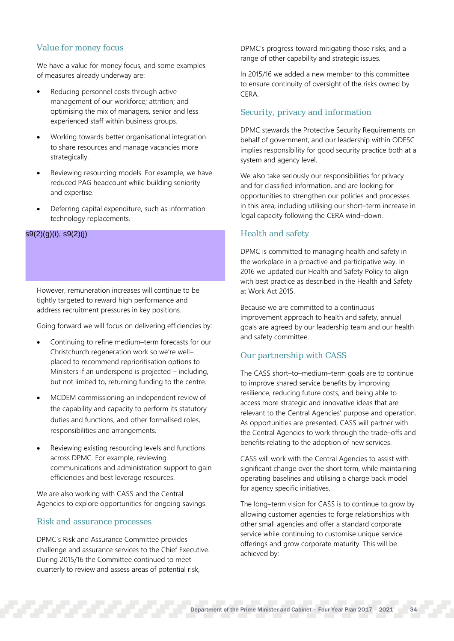## Value for money focus

We have a value for money focus, and some examples of measures already underway are:

- Reducing personnel costs through active management of our workforce; attrition; and optimising the mix of managers, senior and less experienced staff within business groups.
- Working towards better organisational integration to share resources and manage vacancies more strategically.
- Reviewing resourcing models. For example, we have reduced PAG headcount while building seniority and expertise.
- Deferring capital expenditure, such as information technology replacements.

## s9(2)(g)(i), s9(2)(j)

However, remuneration increases will continue to be tightly targeted to reward high performance and address recruitment pressures in key positions.

Going forward we will focus on delivering efficiencies by:

- Continuing to refine medium–term forecasts for our Christchurch regeneration work so we're well– placed to recommend reprioritisation options to Ministers if an underspend is projected – including, but not limited to, returning funding to the centre.
- MCDEM commissioning an independent review of the capability and capacity to perform its statutory duties and functions, and other formalised roles, responsibilities and arrangements.
- Reviewing existing resourcing levels and functions across DPMC. For example, reviewing communications and administration support to gain efficiencies and best leverage resources.

We are also working with CASS and the Central Agencies to explore opportunities for ongoing savings.

## Risk and assurance processes

DPMC's Risk and Assurance Committee provides challenge and assurance services to the Chief Executive. During 2015/16 the Committee continued to meet quarterly to review and assess areas of potential risk,

DPMC's progress toward mitigating those risks, and a range of other capability and strategic issues.

In 2015/16 we added a new member to this committee to ensure continuity of oversight of the risks owned by **CERA** 

## Security, privacy and information

DPMC stewards the Protective Security Requirements on behalf of government, and our leadership within ODESC implies responsibility for good security practice both at a system and agency level.

We also take seriously our responsibilities for privacy and for classified information, and are looking for opportunities to strengthen our policies and processes in this area, including utilising our short–term increase in legal capacity following the CERA wind–down.

## Health and safety

DPMC is committed to managing health and safety in the workplace in a proactive and participative way. In 2016 we updated our Health and Safety Policy to align with best practice as described in the Health and Safety at Work Act 2015.

Because we are committed to a continuous improvement approach to health and safety, annual goals are agreed by our leadership team and our health and safety committee.

## Our partnership with CASS

The CASS short–to–medium–term goals are to continue to improve shared service benefits by improving resilience, reducing future costs, and being able to access more strategic and innovative ideas that are relevant to the Central Agencies' purpose and operation. As opportunities are presented, CASS will partner with the Central Agencies to work through the trade–offs and benefits relating to the adoption of new services.

CASS will work with the Central Agencies to assist with significant change over the short term, while maintaining operating baselines and utilising a charge back model for agency specific initiatives.

The long–term vision for CASS is to continue to grow by allowing customer agencies to forge relationships with other small agencies and offer a standard corporate service while continuing to customise unique service offerings and grow corporate maturity. This will be achieved by: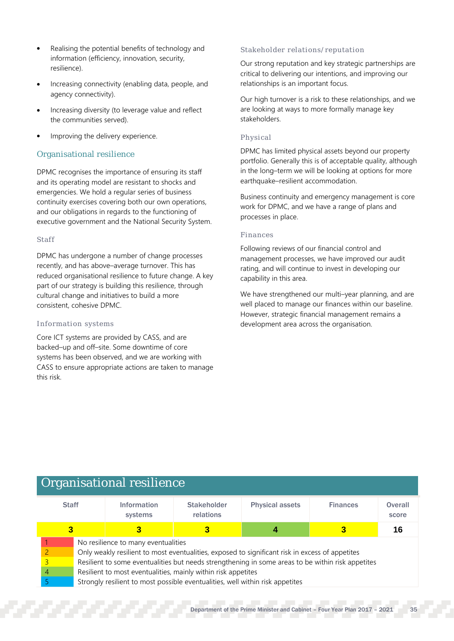- Realising the potential benefits of technology and information (efficiency, innovation, security, resilience).
- Increasing connectivity (enabling data, people, and agency connectivity).
- Increasing diversity (to leverage value and reflect the communities served).
- Improving the delivery experience.

## Organisational resilience

DPMC recognises the importance of ensuring its staff and its operating model are resistant to shocks and emergencies. We hold a regular series of business continuity exercises covering both our own operations, and our obligations in regards to the functioning of executive government and the National Security System.

## Staff

DPMC has undergone a number of change processes recently, and has above–average turnover. This has reduced organisational resilience to future change. A key part of our strategy is building this resilience, through cultural change and initiatives to build a more consistent, cohesive DPMC.

## Information systems

Core ICT systems are provided by CASS, and are backed–up and off–site. Some downtime of core systems has been observed, and we are working with CASS to ensure appropriate actions are taken to manage this risk.

## Stakeholder relations/reputation

Our strong reputation and key strategic partnerships are critical to delivering our intentions, and improving our relationships is an important focus.

Our high turnover is a risk to these relationships, and we are looking at ways to more formally manage key stakeholders.

## Physical

DPMC has limited physical assets beyond our property portfolio. Generally this is of acceptable quality, although in the long–term we will be looking at options for more earthquake–resilient accommodation.

Business continuity and emergency management is core work for DPMC, and we have a range of plans and processes in place.

## Finances

Following reviews of our financial control and management processes, we have improved our audit rating, and will continue to invest in developing our capability in this area.

We have strengthened our multi–year planning, and are well placed to manage our finances within our baseline. However, strategic financial management remains a development area across the organisation.

## Organisational resilience

|   | <b>Staff</b><br><b>Information</b><br>systems |                                                                                                   |  | <b>Stakeholder</b><br><b>Physical assets</b><br>relations |  | <b>Finances</b> | <b>Overall</b><br>score |
|---|-----------------------------------------------|---------------------------------------------------------------------------------------------------|--|-----------------------------------------------------------|--|-----------------|-------------------------|
| З |                                               |                                                                                                   |  |                                                           |  | 16              |                         |
|   |                                               | No resilience to many eventualities                                                               |  |                                                           |  |                 |                         |
|   |                                               | Only weakly resilient to most eventualities, exposed to significant risk in excess of appetites   |  |                                                           |  |                 |                         |
|   |                                               | Resilient to some eventualities but needs strengthening in some areas to be within risk appetites |  |                                                           |  |                 |                         |
|   |                                               | Resilient to most eventualities, mainly within risk appetites                                     |  |                                                           |  |                 |                         |
|   |                                               | Strongly resilient to most possible eventualities, well within risk appetites                     |  |                                                           |  |                 |                         |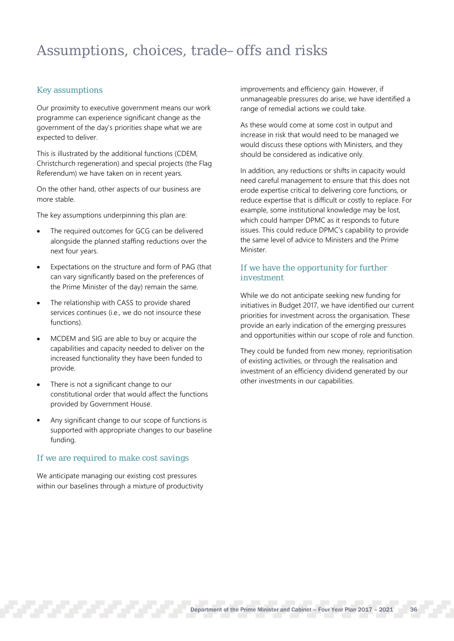## Assumptions, choices, trade–offs and risks

## Key assumptions

Our proximity to executive government means our work programme can experience significant change as the government of the day's priorities shape what we are expected to deliver.

This is illustrated by the additional functions (CDEM, Christchurch regeneration) and special projects (the Flag Referendum) we have taken on in recent years.

On the other hand, other aspects of our business are more stable.

The key assumptions underpinning this plan are:

- The required outcomes for GCG can be delivered alongside the planned staffing reductions over the next four years.
- Expectations on the structure and form of PAG (that can vary significantly based on the preferences of the Prime Minister of the day) remain the same.
- The relationship with CASS to provide shared services continues (i.e., we do not insource these functions).
- MCDEM and SIG are able to buy or acquire the capabilities and capacity needed to deliver on the increased functionality they have been funded to provide.
- There is not a significant change to our constitutional order that would affect the functions provided by Government House.
- Any significant change to our scope of functions is supported with appropriate changes to our baseline funding.

## If we are required to make cost savings

We anticipate managing our existing cost pressures within our baselines through a mixture of productivity improvements and efficiency gain. However, if unmanageable pressures do arise, we have identified a range of remedial actions we could take.

As these would come at some cost in output and increase in risk that would need to be managed we would discuss these options with Ministers, and they should be considered as indicative only.

In addition, any reductions or shifts in capacity would need careful management to ensure that this does not erode expertise critical to delivering core functions, or reduce expertise that is difficult or costly to replace. For example, some institutional knowledge may be lost, which could hamper DPMC as it responds to future issues. This could reduce DPMC's capability to provide the same level of advice to Ministers and the Prime Minister.

## If we have the opportunity for further investment

While we do not anticipate seeking new funding for initiatives in Budget 2017, we have identified our current priorities for investment across the organisation. These provide an early indication of the emerging pressures and opportunities within our scope of role and function.

They could be funded from new money, reprioritisation of existing activities, or through the realisation and investment of an efficiency dividend generated by our other investments in our capabilities.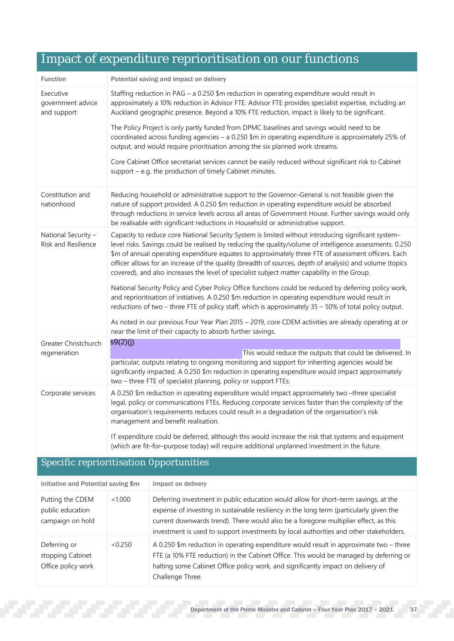|                                                   | Impact of expenditure repriormation on our runctions                                                                                                                                                                                                                                                                                                                                                                                                                                                                               |  |  |  |
|---------------------------------------------------|------------------------------------------------------------------------------------------------------------------------------------------------------------------------------------------------------------------------------------------------------------------------------------------------------------------------------------------------------------------------------------------------------------------------------------------------------------------------------------------------------------------------------------|--|--|--|
| <b>Function</b>                                   | Potential saving and impact on delivery                                                                                                                                                                                                                                                                                                                                                                                                                                                                                            |  |  |  |
| Executive<br>government advice<br>and support     | Staffing reduction in PAG - a 0.250 \$m reduction in operating expenditure would result in<br>approximately a 10% reduction in Advisor FTE. Advisor FTE provides specialist expertise, including an<br>Auckland geographic presence. Beyond a 10% FTE reduction, impact is likely to be significant.                                                                                                                                                                                                                               |  |  |  |
|                                                   | The Policy Project is only partly funded from DPMC baselines and savings would need to be<br>coordinated across funding agencies - a 0.250 \$m in operating expenditure is approximately 25% of<br>output, and would require prioritisation among the six planned work streams.                                                                                                                                                                                                                                                    |  |  |  |
|                                                   | Core Cabinet Office secretariat services cannot be easily reduced without significant risk to Cabinet<br>support - e.g. the production of timely Cabinet minutes.                                                                                                                                                                                                                                                                                                                                                                  |  |  |  |
| Constitution and<br>nationhood                    | Reducing household or administrative support to the Governor-General is not feasible given the<br>nature of support provided. A 0.250 \$m reduction in operating expenditure would be absorbed<br>through reductions in service levels across all areas of Government House. Further savings would only<br>be realisable with significant reductions in Household or administrative support.                                                                                                                                       |  |  |  |
| National Security -<br><b>Risk and Resilience</b> | Capacity to reduce core National Security System is limited without introducing significant system-<br>level risks. Savings could be realised by reducing the quality/volume of intelligence assessments. 0.250<br>\$m of annual operating expenditure equates to approximately three FTE of assessment officers. Each<br>officer allows for an increase of the quality (breadth of sources, depth of analysis) and volume (topics<br>covered), and also increases the level of specialist subject matter capability in the Group. |  |  |  |
|                                                   | National Security Policy and Cyber Policy Office functions could be reduced by deferring policy work,<br>and reprioritisation of initiatives. A 0.250 \$m reduction in operating expenditure would result in<br>reductions of two - three FTE of policy staff, which is approximately 35 - 50% of total policy output.                                                                                                                                                                                                             |  |  |  |
|                                                   | As noted in our previous Four Year Plan 2015 - 2019, core CDEM activities are already operating at or<br>near the limit of their capacity to absorb further savings.                                                                                                                                                                                                                                                                                                                                                               |  |  |  |
| Greater Christchurch<br>regeneration              | s9(2)(j)<br>This would reduce the outputs that could be delivered. In<br>particular, outputs relating to ongoing monitoring and support for inheriting agencies would be<br>significantly impacted. A 0.250 \$m reduction in operating expenditure would impact approximately<br>two - three FTE of specialist planning, policy or support FTEs.                                                                                                                                                                                   |  |  |  |
| Corporate services                                | A 0.250 \$m reduction in operating expenditure would impact approximately two -three specialist<br>legal, policy or communications FTEs. Reducing corporate services faster than the complexity of the<br>organisation's requirements reduces could result in a degradation of the organisation's risk<br>management and benefit realisation.                                                                                                                                                                                      |  |  |  |
|                                                   | IT expenditure could be deferred, although this would increase the risk that systems and equipment<br>(which are fit-for-purpose today) will require additional unplanned investment in the future.                                                                                                                                                                                                                                                                                                                                |  |  |  |

## Impact of expenditure reprioritisation on our functions

## Specific reprioritisation 0pportunities

| Initiative and Potential saving \$m                      |         | Impact on delivery                                                                                                                                                                                                                                                                                                                                              |  |
|----------------------------------------------------------|---------|-----------------------------------------------------------------------------------------------------------------------------------------------------------------------------------------------------------------------------------------------------------------------------------------------------------------------------------------------------------------|--|
| Putting the CDEM<br>public education<br>campaign on hold | <1.000  | Deferring investment in public education would allow for short-term savings, at the<br>expense of investing in sustainable resiliency in the long term (particularly given the<br>current downwards trend). There would also be a foregone multiplier effect, as this<br>investment is used to support investments by local authorities and other stakeholders. |  |
| Deferring or<br>stopping Cabinet<br>Office policy work   | < 0.250 | A 0.250 $\text{\$m}$ reduction in operating expenditure would result in approximate two – three<br>FTE (a 10% FTE reduction) in the Cabinet Office. This would be managed by deferring or<br>halting some Cabinet Office policy work, and significantly impact on delivery of<br>Challenge Three.                                                               |  |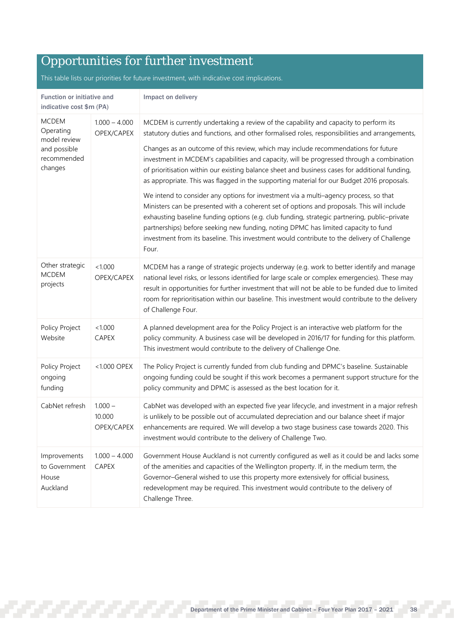## Opportunities for further investment

This table lists our priorities for future investment, with indicative cost implications.

| Function or initiative and<br>indicative cost \$m (PA) |                                   | Impact on delivery                                                                                                                                                                                                                                                                                                                                                                                                                                                               |  |  |  |  |
|--------------------------------------------------------|-----------------------------------|----------------------------------------------------------------------------------------------------------------------------------------------------------------------------------------------------------------------------------------------------------------------------------------------------------------------------------------------------------------------------------------------------------------------------------------------------------------------------------|--|--|--|--|
| <b>MCDEM</b><br>Operating<br>model review              | $1.000 - 4.000$<br>OPEX/CAPEX     | MCDEM is currently undertaking a review of the capability and capacity to perform its<br>statutory duties and functions, and other formalised roles, responsibilities and arrangements,                                                                                                                                                                                                                                                                                          |  |  |  |  |
| and possible<br>recommended<br>changes                 |                                   | Changes as an outcome of this review, which may include recommendations for future<br>investment in MCDEM's capabilities and capacity, will be progressed through a combination<br>of prioritisation within our existing balance sheet and business cases for additional funding,<br>as appropriate. This was flagged in the supporting material for our Budget 2016 proposals.                                                                                                  |  |  |  |  |
|                                                        |                                   | We intend to consider any options for investment via a multi-agency process, so that<br>Ministers can be presented with a coherent set of options and proposals. This will include<br>exhausting baseline funding options (e.g. club funding, strategic partnering, public-private<br>partnerships) before seeking new funding, noting DPMC has limited capacity to fund<br>investment from its baseline. This investment would contribute to the delivery of Challenge<br>Four. |  |  |  |  |
| Other strategic<br><b>MCDEM</b><br>projects            | < 1.000<br>OPEX/CAPEX             | MCDEM has a range of strategic projects underway (e.g. work to better identify and manage<br>national level risks, or lessons identified for large scale or complex emergencies). These may<br>result in opportunities for further investment that will not be able to be funded due to limited<br>room for reprioritisation within our baseline. This investment would contribute to the delivery<br>of Challenge Four.                                                         |  |  |  |  |
| Policy Project<br>Website                              | < 1.000<br><b>CAPEX</b>           | A planned development area for the Policy Project is an interactive web platform for the<br>policy community. A business case will be developed in 2016/17 for funding for this platform.<br>This investment would contribute to the delivery of Challenge One.                                                                                                                                                                                                                  |  |  |  |  |
| Policy Project<br>ongoing<br>funding                   | <1.000 OPEX                       | The Policy Project is currently funded from club funding and DPMC's baseline. Sustainable<br>ongoing funding could be sought if this work becomes a permanent support structure for the<br>policy community and DPMC is assessed as the best location for it.                                                                                                                                                                                                                    |  |  |  |  |
| CabNet refresh                                         | $1.000 -$<br>10.000<br>OPEX/CAPEX | CabNet was developed with an expected five year lifecycle, and investment in a major refresh<br>is unlikely to be possible out of accumulated depreciation and our balance sheet if major<br>enhancements are required. We will develop a two stage business case towards 2020. This<br>investment would contribute to the delivery of Challenge Two.                                                                                                                            |  |  |  |  |
| Improvements<br>to Government<br>House<br>Auckland     | $1.000 - 4.000$<br><b>CAPEX</b>   | Government House Auckland is not currently configured as well as it could be and lacks some<br>of the amenities and capacities of the Wellington property. If, in the medium term, the<br>Governor-General wished to use this property more extensively for official business,<br>redevelopment may be required. This investment would contribute to the delivery of<br>Challenge Three.                                                                                         |  |  |  |  |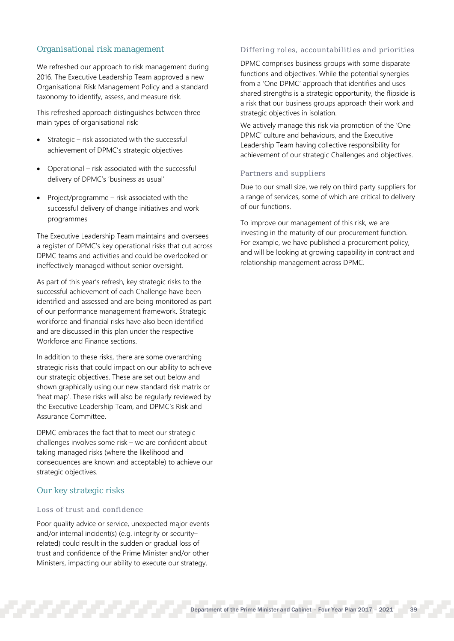## Organisational risk management

We refreshed our approach to risk management during 2016. The Executive Leadership Team approved a new Organisational Risk Management Policy and a standard taxonomy to identify, assess, and measure risk.

This refreshed approach distinguishes between three main types of organisational risk:

- Strategic risk associated with the successful achievement of DPMC's strategic objectives
- Operational risk associated with the successful delivery of DPMC's 'business as usual'
- Project/programme risk associated with the successful delivery of change initiatives and work programmes

The Executive Leadership Team maintains and oversees a register of DPMC's key operational risks that cut across DPMC teams and activities and could be overlooked or ineffectively managed without senior oversight.

As part of this year's refresh, key strategic risks to the successful achievement of each Challenge have been identified and assessed and are being monitored as part of our performance management framework. Strategic workforce and financial risks have also been identified and are discussed in this plan under the respective Workforce and Finance sections.

In addition to these risks, there are some overarching strategic risks that could impact on our ability to achieve our strategic objectives. These are set out below and shown graphically using our new standard risk matrix or 'heat map'. These risks will also be regularly reviewed by the Executive Leadership Team, and DPMC's Risk and Assurance Committee.

DPMC embraces the fact that to meet our strategic challenges involves some risk – we are confident about taking managed risks (where the likelihood and consequences are known and acceptable) to achieve our strategic objectives.

## Our key strategic risks

## Loss of trust and confidence

Poor quality advice or service, unexpected major events and/or internal incident(s) (e.g. integrity or security– related) could result in the sudden or gradual loss of trust and confidence of the Prime Minister and/or other Ministers, impacting our ability to execute our strategy.

## Differing roles, accountabilities and priorities

DPMC comprises business groups with some disparate functions and objectives. While the potential synergies from a 'One DPMC' approach that identifies and uses shared strengths is a strategic opportunity, the flipside is a risk that our business groups approach their work and strategic objectives in isolation.

We actively manage this risk via promotion of the 'One DPMC' culture and behaviours, and the Executive Leadership Team having collective responsibility for achievement of our strategic Challenges and objectives.

## Partners and suppliers

Due to our small size, we rely on third party suppliers for a range of services, some of which are critical to delivery of our functions.

To improve our management of this risk, we are investing in the maturity of our procurement function. For example, we have published a procurement policy, and will be looking at growing capability in contract and relationship management across DPMC.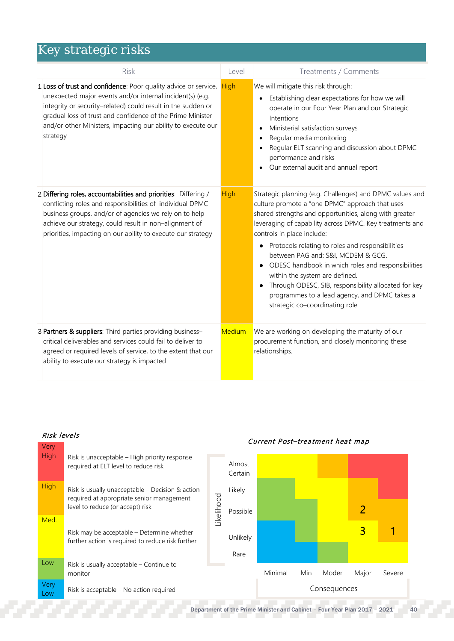| <b>Risk</b>                                                                                                                                                                                                                                                                                                                            | Level         | Treatments / Comments                                                                                                                                                                                                                                                                                                                                                                                                                                                                                                                                                                            |
|----------------------------------------------------------------------------------------------------------------------------------------------------------------------------------------------------------------------------------------------------------------------------------------------------------------------------------------|---------------|--------------------------------------------------------------------------------------------------------------------------------------------------------------------------------------------------------------------------------------------------------------------------------------------------------------------------------------------------------------------------------------------------------------------------------------------------------------------------------------------------------------------------------------------------------------------------------------------------|
| 1 Loss of trust and confidence: Poor quality advice or service,<br>unexpected major events and/or internal incident(s) (e.g.<br>integrity or security-related) could result in the sudden or<br>gradual loss of trust and confidence of the Prime Minister<br>and/or other Ministers, impacting our ability to execute our<br>strategy | <b>High</b>   | We will mitigate this risk through:<br>Establishing clear expectations for how we will<br>operate in our Four Year Plan and our Strategic<br>Intentions<br>Ministerial satisfaction surveys<br>Regular media monitoring<br>Regular ELT scanning and discussion about DPMC<br>performance and risks<br>• Our external audit and annual report                                                                                                                                                                                                                                                     |
| 2 Differing roles, accountabilities and priorities: Differing /<br>conflicting roles and responsibilities of individual DPMC<br>business groups, and/or of agencies we rely on to help<br>achieve our strategy, could result in non-alignment of<br>priorities, impacting on our ability to execute our strategy                       | <b>High</b>   | Strategic planning (e.g. Challenges) and DPMC values and<br>culture promote a "one DPMC" approach that uses<br>shared strengths and opportunities, along with greater<br>leveraging of capability across DPMC. Key treatments and<br>controls in place include:<br>• Protocols relating to roles and responsibilities<br>between PAG and: S&I, MCDEM & GCG.<br>• ODESC handbook in which roles and responsibilities<br>within the system are defined.<br>Through ODESC, SIB, responsibility allocated for key<br>programmes to a lead agency, and DPMC takes a<br>strategic co-coordinating role |
| 3 Partners & suppliers: Third parties providing business-<br>critical deliverables and services could fail to deliver to<br>agreed or required levels of service, to the extent that our<br>ability to execute our strategy is impacted                                                                                                | <b>Medium</b> | We are working on developing the maturity of our<br>procurement function, and closely monitoring these<br>relationships.                                                                                                                                                                                                                                                                                                                                                                                                                                                                         |

| Very<br>Low | Risk is acceptable - No action required                                                         |            |                   | Consequences |     |       |       |        |
|-------------|-------------------------------------------------------------------------------------------------|------------|-------------------|--------------|-----|-------|-------|--------|
|             | Risk is usually acceptable – Continue to<br>monitor                                             |            |                   | Minimal      | Min | Moder | Major | Severe |
| Low         |                                                                                                 |            | Rare              |              |     |       |       |        |
|             | Risk may be acceptable – Determine whether<br>further action is required to reduce risk further |            | Unlikely          |              |     |       | 3     |        |
| Med.        | level to reduce (or accept) risk                                                                | Likelihood | Possible          |              |     |       |       |        |
| <b>High</b> | Risk is usually unacceptable – Decision & action<br>required at appropriate senior management   |            | Likely            |              |     |       |       |        |
| High        | Risk is unacceptable – High priority response<br>required at ELT level to reduce risk           |            | Almost<br>Certain |              |     |       |       |        |

## Risk levels Current Post– treatment heat map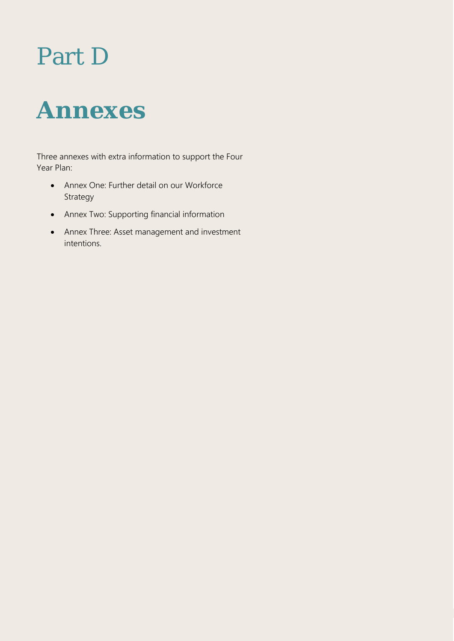# Part D



Three annexes with extra information to support the Four Year Plan:

- Annex One: Further detail on our Workforce Strategy
- Annex Two: Supporting financial information
- Annex Three: Asset management and investment intentions.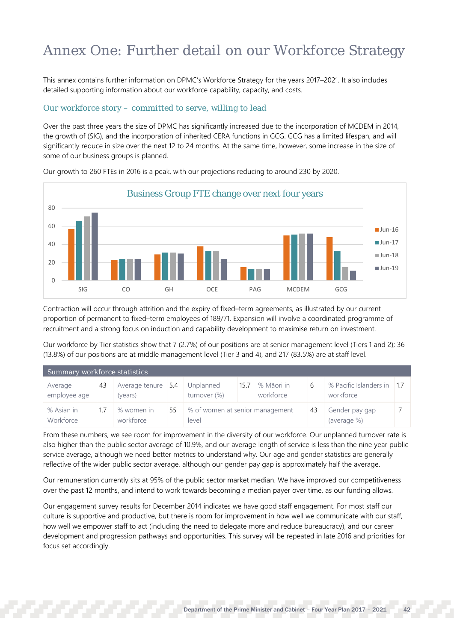## Annex One: Further detail on our Workforce Strategy

This annex contains further information on DPMC's Workforce Strategy for the years 2017–2021. It also includes detailed supporting information about our workforce capability, capacity, and costs.

## Our workforce story – committed to serve, willing to lead

Over the past three years the size of DPMC has significantly increased due to the incorporation of MCDEM in 2014, the growth of (SIG), and the incorporation of inherited CERA functions in GCG. GCG has a limited lifespan, and will significantly reduce in size over the next 12 to 24 months. At the same time, however, some increase in the size of some of our business groups is planned.



Our growth to 260 FTEs in 2016 is a peak, with our projections reducing to around 230 by 2020.

Contraction will occur through attrition and the expiry of fixed–term agreements, as illustrated by our current proportion of permanent to fixed–term employees of 189/71. Expansion will involve a coordinated programme of recruitment and a strong focus on induction and capability development to maximise return on investment.

Our workforce by Tier statistics show that 7 (2.7%) of our positions are at senior management level (Tiers 1 and 2); 36 (13.8%) of our positions are at middle management level (Tier 3 and 4), and 217 (83.5%) are at staff level.

| Summary workforce statistics |    |                               |    |                                          |      |                         |    |                                         |  |  |  |
|------------------------------|----|-------------------------------|----|------------------------------------------|------|-------------------------|----|-----------------------------------------|--|--|--|
| Average<br>employee age      | 43 | Average tenure 5.4<br>(years) |    | Unplanned<br>turnover (%)                | 15.7 | % Māori in<br>workforce | b  | % Pacific Islanders in 1.7<br>workforce |  |  |  |
| % Asian in<br>Workforce      |    | % women in<br>workforce       | 55 | % of women at senior management<br>level |      |                         | 43 | Gender pay gap<br>(average %)           |  |  |  |

From these numbers, we see room for improvement in the diversity of our workforce. Our unplanned turnover rate is also higher than the public sector average of 10.9%, and our average length of service is less than the nine year public service average, although we need better metrics to understand why. Our age and gender statistics are generally reflective of the wider public sector average, although our gender pay gap is approximately half the average.

Our remuneration currently sits at 95% of the public sector market median. We have improved our competitiveness over the past 12 months, and intend to work towards becoming a median payer over time, as our funding allows.

Our engagement survey results for December 2014 indicates we have good staff engagement. For most staff our culture is supportive and productive, but there is room for improvement in how well we communicate with our staff, how well we empower staff to act (including the need to delegate more and reduce bureaucracy), and our career development and progression pathways and opportunities. This survey will be repeated in late 2016 and priorities for focus set accordingly.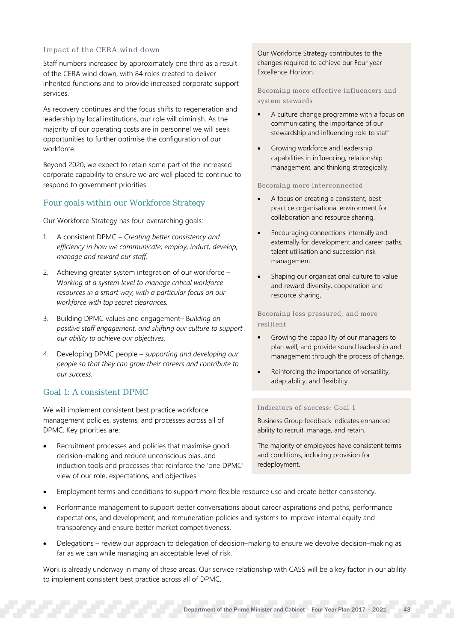## Impact of the CERA wind down

Staff numbers increased by approximately one third as a result of the CERA wind down, with 84 roles created to deliver inherited functions and to provide increased corporate support services.

As recovery continues and the focus shifts to regeneration and leadership by local institutions, our role will diminish. As the majority of our operating costs are in personnel we will seek opportunities to further optimise the configuration of our workforce.

Beyond 2020, we expect to retain some part of the increased corporate capability to ensure we are well placed to continue to respond to government priorities.

## Four goals within our Workforce Strategy

Our Workforce Strategy has four overarching goals:

- 1. A consistent DPMC *Creating better consistency and efficiency in how we communicate, employ, induct, develop, manage and reward our staff.*
- 2. Achieving greater system integration of our workforce W*orking at a system level to manage critical workforce resources in a smart way, with a particular focus on our workforce with top secret clearances.*
- 3. Building DPMC values and engagement– B*uilding on positive staff engagement, and shifting our culture to support our ability to achieve our objectives.*
- 4. Developing DPMC people *supporting and developing our people so that they can grow their careers and contribute to our success.*

## Goal 1: A consistent DPMC

We will implement consistent best practice workforce management policies, systems, and processes across all of DPMC. Key priorities are:

• Recruitment processes and policies that maximise good decision–making and reduce unconscious bias, and induction tools and processes that reinforce the 'one DPMC' view of our role, expectations, and objectives.

Our Workforce Strategy contributes to the changes required to achieve our Four year Excellence Horizon.

Becoming more effective influencers and system stewards

- A culture change programme with a focus on communicating the importance of our stewardship and influencing role to staff
- Growing workforce and leadership capabilities in influencing, relationship management, and thinking strategically.

Becoming more interconnected

- A focus on creating a consistent, best– practice organisational environment for collaboration and resource sharing.
- Encouraging connections internally and externally for development and career paths, talent utilisation and succession risk management.
- Shaping our organisational culture to value and reward diversity, cooperation and resource sharing,

Becoming less pressured, and more resilient

- Growing the capability of our managers to plan well, and provide sound leadership and management through the process of change.
- Reinforcing the importance of versatility, adaptability, and flexibility.

## Indicators of success: Goal 1

Business Group feedback indicates enhanced ability to recruit, manage, and retain.

The majority of employees have consistent terms and conditions, including provision for redeployment.

- Employment terms and conditions to support more flexible resource use and create better consistency.
- Performance management to support better conversations about career aspirations and paths, performance expectations, and development; and remuneration policies and systems to improve internal equity and transparency and ensure better market competitiveness.
- Delegations review our approach to delegation of decision–making to ensure we devolve decision–making as far as we can while managing an acceptable level of risk.

Work is already underway in many of these areas. Our service relationship with CASS will be a key factor in our ability to implement consistent best practice across all of DPMC.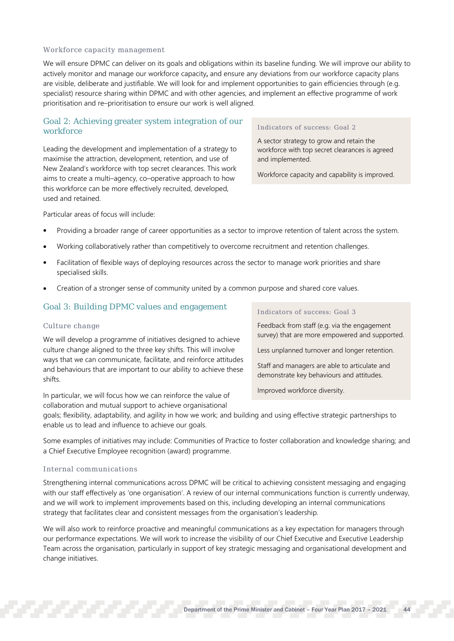### Workforce capacity management

We will ensure DPMC can deliver on its goals and obligations within its baseline funding. We will improve our ability to actively monitor and manage our workforce capacity, and ensure any deviations from our workforce capacity plans are visible, deliberate and justifiable. We will look for and implement opportunities to gain efficiencies through (e.g. specialist) resource sharing within DPMC and with other agencies, and implement an effective programme of work prioritisation and re–prioritisation to ensure our work is well aligned.

## Goal 2: Achieving greater system integration of our workforce

Leading the development and implementation of a strategy to maximise the attraction, development, retention, and use of New Zealand's workforce with top secret clearances. This work aims to create a multi–agency, co–operative approach to how this workforce can be more effectively recruited, developed, used and retained.

## Indicators of success: Goal 2

A sector strategy to grow and retain the workforce with top secret clearances is agreed and implemented.

Workforce capacity and capability is improved.

Particular areas of focus will include:

- Providing a broader range of career opportunities as a sector to improve retention of talent across the system.
- Working collaboratively rather than competitively to overcome recruitment and retention challenges.
- Facilitation of flexible ways of deploying resources across the sector to manage work priorities and share specialised skills.
- Creation of a stronger sense of community united by a common purpose and shared core values.

## Goal 3: Building DPMC values and engagement

## Culture change

We will develop a programme of initiatives designed to achieve culture change aligned to the three key shifts. This will involve ways that we can communicate, facilitate, and reinforce attitudes and behaviours that are important to our ability to achieve these shifts.

In particular, we will focus how we can reinforce the value of collaboration and mutual support to achieve organisational

Indicators of success: Goal 3

Feedback from staff (e.g. via the engagement survey) that are more empowered and supported.

Less unplanned turnover and longer retention.

Staff and managers are able to articulate and demonstrate key behaviours and attitudes.

Improved workforce diversity.

goals; flexibility, adaptability, and agility in how we work; and building and using effective strategic partnerships to enable us to lead and influence to achieve our goals.

Some examples of initiatives may include: Communities of Practice to foster collaboration and knowledge sharing; and a Chief Executive Employee recognition (award) programme.

## Internal communications

Strengthening internal communications across DPMC will be critical to achieving consistent messaging and engaging with our staff effectively as 'one organisation'. A review of our internal communications function is currently underway, and we will work to implement improvements based on this, including developing an internal communications strategy that facilitates clear and consistent messages from the organisation's leadership.

We will also work to reinforce proactive and meaningful communications as a key expectation for managers through our performance expectations. We will work to increase the visibility of our Chief Executive and Executive Leadership Team across the organisation, particularly in support of key strategic messaging and organisational development and change initiatives.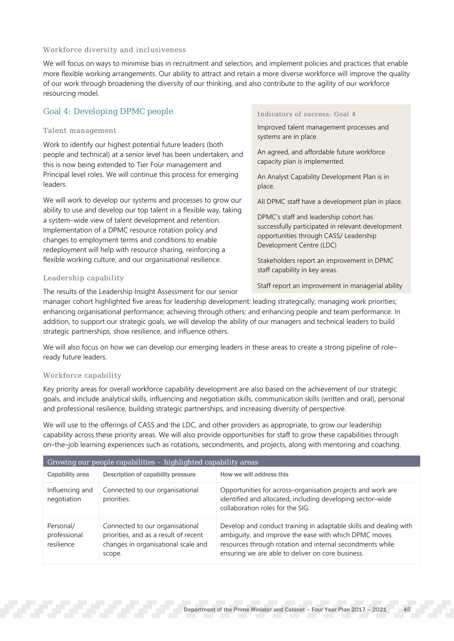## Workforce diversity and inclusiveness

We will focus on ways to minimise bias in recruitment and selection, and implement policies and practices that enable more flexible working arrangements. Our ability to attract and retain a more diverse workforce will improve the quality of our work through broadening the diversity of our thinking, and also contribute to the agility of our workforce resourcing model.

## Goal 4: Developing DPMC people

## Talent management

Work to identify our highest potential future leaders (both people and technical) at a senior level has been undertaken, and this is now being extended to Tier Four management and Principal level roles. We will continue this process for emerging leaders.

We will work to develop our systems and processes to grow our ability to use and develop our top talent in a flexible way, taking a system–wide view of talent development and retention. Implementation of a DPMC resource rotation policy and changes to employment terms and conditions to enable redeployment will help with resource sharing, reinforcing a flexible working culture, and our organisational resilience.

## Leadership capability

The results of the Leadership Insight Assessment for our senior

# manager cohort highlighted five areas for leadership development: leading strategically; managing work priorities;

enhancing organisational performance; achieving through others; and enhancing people and team performance. In addition, to support our strategic goals, we will develop the ability of our managers and technical leaders to build strategic partnerships, show resilience, and influence others.

We will also focus on how we can develop our emerging leaders in these areas to create a strong pipeline of role– ready future leaders.

## Workforce capability

Key priority areas for overall workforce capability development are also based on the achievement of our strategic goals, and include analytical skills, influencing and negotiation skills, communication skills (written and oral), personal and professional resilience, building strategic partnerships, and increasing diversity of perspective.

We will use to the offerings of CASS and the LDC, and other providers as appropriate, to grow our leadership capability across these priority areas. We will also provide opportunities for staff to grow these capabilities through on–the–job learning experiences such as rotations, secondments, and projects, along with mentoring and coaching.

| Growing our people capabilities - highlighted capability areas |                                                                                                                           |                                                                                                                                                                                                                                              |  |  |  |  |
|----------------------------------------------------------------|---------------------------------------------------------------------------------------------------------------------------|----------------------------------------------------------------------------------------------------------------------------------------------------------------------------------------------------------------------------------------------|--|--|--|--|
| Capability area                                                | Description of capability pressure                                                                                        | How we will address this                                                                                                                                                                                                                     |  |  |  |  |
| Influencing and<br>negotiation                                 | Connected to our organisational<br>priorities.                                                                            | Opportunities for across-organisation projects and work are<br>identified and allocated, including developing sector-wide<br>collaboration roles for the SIG.                                                                                |  |  |  |  |
| Personal/<br>professional<br>resilience                        | Connected to our organisational<br>priorities, and as a result of recent<br>changes in organisational scale and<br>scope. | Develop and conduct training in adaptable skills and dealing with<br>ambiguity, and improve the ease with which DPMC moves<br>resources through rotation and internal secondments while<br>ensuring we are able to deliver on core business. |  |  |  |  |

## Indicators of success: Goal 4

Improved talent management processes and systems are in place.

An agreed, and affordable future workforce capacity plan is implemented.

An Analyst Capability Development Plan is in place.

All DPMC staff have a development plan in place.

DPMC's staff and leadership cohort has successfully participated in relevant development opportunities through CASS/ Leadership Development Centre (LDC)

Stakeholders report an improvement in DPMC staff capability in key areas.

Staff report an improvement in managerial ability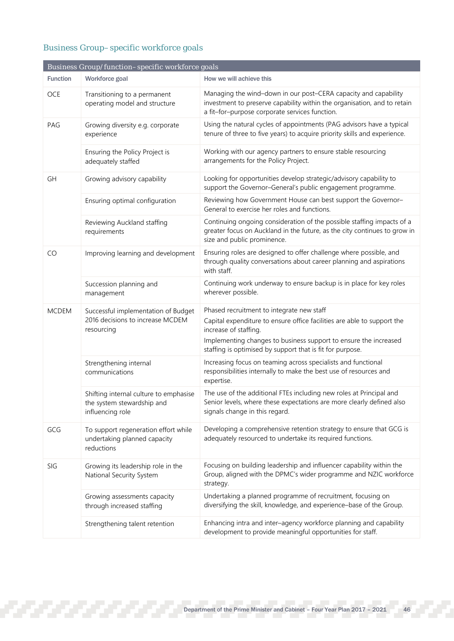## Business Group–specific workforce goals

|                 | Business Group/function-specific workforce goals                                         |                                                                                                                                                                                               |
|-----------------|------------------------------------------------------------------------------------------|-----------------------------------------------------------------------------------------------------------------------------------------------------------------------------------------------|
| <b>Function</b> | Workforce goal                                                                           | How we will achieve this                                                                                                                                                                      |
| <b>OCE</b>      | Transitioning to a permanent<br>operating model and structure                            | Managing the wind-down in our post-CERA capacity and capability<br>investment to preserve capability within the organisation, and to retain<br>a fit-for-purpose corporate services function. |
| PAG             | Growing diversity e.g. corporate<br>experience                                           | Using the natural cycles of appointments (PAG advisors have a typical<br>tenure of three to five years) to acquire priority skills and experience.                                            |
|                 | Ensuring the Policy Project is<br>adequately staffed                                     | Working with our agency partners to ensure stable resourcing<br>arrangements for the Policy Project.                                                                                          |
| GH              | Growing advisory capability                                                              | Looking for opportunities develop strategic/advisory capability to<br>support the Governor-General's public engagement programme.                                                             |
|                 | Ensuring optimal configuration                                                           | Reviewing how Government House can best support the Governor-<br>General to exercise her roles and functions.                                                                                 |
|                 | Reviewing Auckland staffing<br>requirements                                              | Continuing ongoing consideration of the possible staffing impacts of a<br>greater focus on Auckland in the future, as the city continues to grow in<br>size and public prominence.            |
| CO              | Improving learning and development                                                       | Ensuring roles are designed to offer challenge where possible, and<br>through quality conversations about career planning and aspirations<br>with staff.                                      |
|                 | Succession planning and<br>management                                                    | Continuing work underway to ensure backup is in place for key roles<br>wherever possible.                                                                                                     |
| <b>MCDEM</b>    | Successful implementation of Budget                                                      | Phased recruitment to integrate new staff                                                                                                                                                     |
|                 | 2016 decisions to increase MCDEM<br>resourcing                                           | Capital expenditure to ensure office facilities are able to support the<br>increase of staffing.                                                                                              |
|                 |                                                                                          | Implementing changes to business support to ensure the increased<br>staffing is optimised by support that is fit for purpose.                                                                 |
|                 | Strengthening internal<br>communications                                                 | Increasing focus on teaming across specialists and functional<br>responsibilities internally to make the best use of resources and<br>expertise.                                              |
|                 | Shifting internal culture to emphasise<br>the system stewardship and<br>influencing role | The use of the additional FTEs including new roles at Principal and<br>Senior levels, where these expectations are more clearly defined also<br>signals change in this regard.                |
| GCG             | To support regeneration effort while<br>undertaking planned capacity<br>reductions       | Developing a comprehensive retention strategy to ensure that GCG is<br>adequately resourced to undertake its required functions.                                                              |
| SIG             | Growing its leadership role in the<br>National Security System                           | Focusing on building leadership and influencer capability within the<br>Group, aligned with the DPMC's wider programme and NZIC workforce<br>strategy.                                        |
|                 | Growing assessments capacity<br>through increased staffing                               | Undertaking a planned programme of recruitment, focusing on<br>diversifying the skill, knowledge, and experience-base of the Group.                                                           |
|                 | Strengthening talent retention                                                           | Enhancing intra and inter-agency workforce planning and capability<br>development to provide meaningful opportunities for staff.                                                              |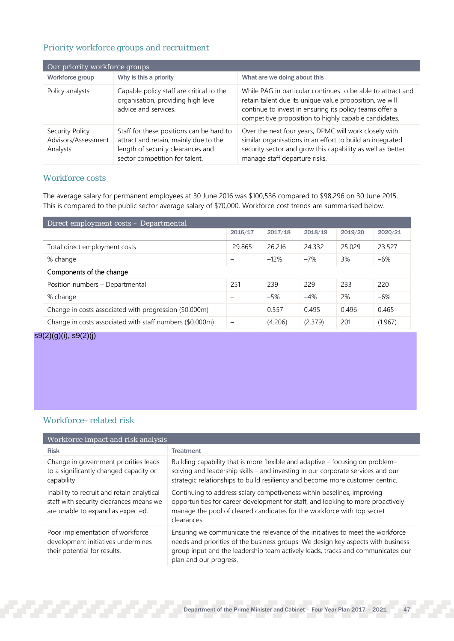## Priority workforce groups and recruitment

| Our priority workforce groups                      |                                                                                                                                                          |                                                                                                                                                                                                                                            |  |  |  |  |  |
|----------------------------------------------------|----------------------------------------------------------------------------------------------------------------------------------------------------------|--------------------------------------------------------------------------------------------------------------------------------------------------------------------------------------------------------------------------------------------|--|--|--|--|--|
| Workforce group                                    | Why is this a priority                                                                                                                                   | What are we doing about this                                                                                                                                                                                                               |  |  |  |  |  |
| Policy analysts                                    | Capable policy staff are critical to the<br>organisation, providing high level<br>advice and services.                                                   | While PAG in particular continues to be able to attract and<br>retain talent due its unique value proposition, we will<br>continue to invest in ensuring its policy teams offer a<br>competitive proposition to highly capable candidates. |  |  |  |  |  |
| Security Policy<br>Advisors/Assessment<br>Analysts | Staff for these positions can be hard to<br>attract and retain, mainly due to the<br>length of security clearances and<br>sector competition for talent. | Over the next four years, DPMC will work closely with<br>similar organisations in an effort to build an integrated<br>security sector and grow this capability as well as better<br>manage staff departure risks.                          |  |  |  |  |  |

## Workforce costs

The average salary for permanent employees at 30 June 2016 was \$100,536 compared to \$98,296 on 30 June 2015. This is compared to the public sector average salary of \$70,000. Workforce cost trends are summarised below.

| Direct employment costs – Departmental                   |                          |         |         |         |         |  |  |  |
|----------------------------------------------------------|--------------------------|---------|---------|---------|---------|--|--|--|
|                                                          | 2016/17                  | 2017/18 | 2018/19 | 2019/20 | 2020/21 |  |  |  |
| Total direct employment costs                            | 29.865                   | 26.216  | 24.332  | 25.029  | 23.527  |  |  |  |
| % change                                                 | $\overline{\phantom{0}}$ | $-12%$  | $-7%$   | 3%      | $-6%$   |  |  |  |
| Components of the change                                 |                          |         |         |         |         |  |  |  |
| Position numbers - Departmental                          | 251                      | 239     | 229     | 233     | 220     |  |  |  |
| % change                                                 |                          | $-5%$   | $-4%$   | 2%      | $-6%$   |  |  |  |
| Change in costs associated with progression (\$0.000m)   | -                        | 0.557   | 0.495   | 0.496   | 0.465   |  |  |  |
| Change in costs associated with staff numbers (\$0.000m) | $\overline{\phantom{0}}$ | (4.206) | (2.379) | 201     | (1.967) |  |  |  |

## s9(2)(g)(i), s9(2)(j)

## Workforce–related risk

| Workforce impact and risk analysis                                                                                         |                                                                                                                                                                                                                                                                                 |  |  |  |  |  |  |  |
|----------------------------------------------------------------------------------------------------------------------------|---------------------------------------------------------------------------------------------------------------------------------------------------------------------------------------------------------------------------------------------------------------------------------|--|--|--|--|--|--|--|
| <b>Risk</b>                                                                                                                | <b>Treatment</b>                                                                                                                                                                                                                                                                |  |  |  |  |  |  |  |
| Change in government priorities leads<br>to a significantly changed capacity or<br>capability                              | Building capability that is more flexible and adaptive - focusing on problem-<br>solving and leadership skills - and investing in our corporate services and our<br>strategic relationships to build resiliency and become more customer centric.                               |  |  |  |  |  |  |  |
| Inability to recruit and retain analytical<br>staff with security clearances means we<br>are unable to expand as expected. | Continuing to address salary competiveness within baselines, improving<br>opportunities for career development for staff, and looking to more proactively<br>manage the pool of cleared candidates for the workforce with top secret<br>clearances.                             |  |  |  |  |  |  |  |
| Poor implementation of workforce<br>development initiatives undermines<br>their potential for results.                     | Ensuring we communicate the relevance of the initiatives to meet the workforce<br>needs and priorities of the business groups. We design key aspects with business<br>group input and the leadership team actively leads, tracks and communicates our<br>plan and our progress. |  |  |  |  |  |  |  |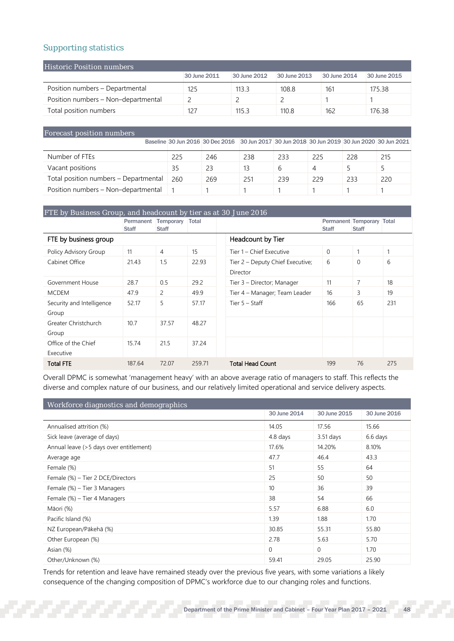## Supporting statistics

| Historic Position numbers           |              |              |              |              |              |  |  |  |  |  |
|-------------------------------------|--------------|--------------|--------------|--------------|--------------|--|--|--|--|--|
|                                     | 30 June 2011 | 30 June 2012 | 30 June 2013 | 30 June 2014 | 30 June 2015 |  |  |  |  |  |
| Position numbers - Departmental     | 125          | 113.3        | 108.8        | 161          | 175.38       |  |  |  |  |  |
| Position numbers - Non-departmental |              |              |              |              |              |  |  |  |  |  |
| Total position numbers              | 127          | 115.3        | 110.8        | 162          | 176.38       |  |  |  |  |  |

## Forecast position numbers

|                                       |     | Baseline 30 Jun 2016 30 Dec 2016 30 Jun 2017 30 Jun 2018 30 Jun 2019 30 Jun 2020 30 Jun 2021 |     |     |          |     |     |
|---------------------------------------|-----|----------------------------------------------------------------------------------------------|-----|-----|----------|-----|-----|
| Number of FTEs                        | 225 | 246                                                                                          | 238 | 233 | 225      | 228 | 215 |
| Vacant positions                      | 35  | 23                                                                                           |     | b   | $\Delta$ |     |     |
| Total position numbers - Departmental | 260 | 269                                                                                          | 251 | 239 | 229      | 233 | 220 |
| Position numbers - Non-departmental   |     |                                                                                              |     |     |          |     |     |

| FTE by Business Group, and headcount by tier as at 30 June 2016 |                           |                                 |                   |                                              |              |                                           |     |  |  |
|-----------------------------------------------------------------|---------------------------|---------------------------------|-------------------|----------------------------------------------|--------------|-------------------------------------------|-----|--|--|
|                                                                 | Permanent<br><b>Staff</b> | Temporary Total<br><b>Staff</b> |                   |                                              | <b>Staff</b> | Permanent Temporary Total<br><b>Staff</b> |     |  |  |
| FTE by business group                                           |                           |                                 | Headcount by Tier |                                              |              |                                           |     |  |  |
| Policy Advisory Group                                           | 11                        | 4                               | 15                | Tier 1 – Chief Executive                     | $\Omega$     | 1                                         |     |  |  |
| Cabinet Office                                                  | 21.43                     | 1.5                             | 22.93             | Tier 2 – Deputy Chief Executive;<br>Director | 6            | $\Omega$                                  | 6   |  |  |
| Government House                                                | 28.7                      | 0.5                             | 29.2              | Tier 3 - Director; Manager                   | 11           | 7                                         | 18  |  |  |
| <b>MCDEM</b>                                                    | 47.9                      | $\overline{2}$                  | 49.9              | Tier 4 - Manager; Team Leader                | 16           | 3                                         | 19  |  |  |
| Security and Intelligence<br>Group                              | 52.17                     | 5                               | 57.17             | Tier $5 -$ Staff                             | 166          | 65                                        | 231 |  |  |
| Greater Christchurch<br>Group                                   | 10.7                      | 37.57                           | 48.27             |                                              |              |                                           |     |  |  |
| Office of the Chief<br>Executive                                | 15.74                     | 21.5                            | 37.24             |                                              |              |                                           |     |  |  |
| <b>Total FTE</b>                                                | 187.64                    | 72.07                           | 259.71            | <b>Total Head Count</b>                      | 199          | 76                                        | 275 |  |  |

Overall DPMC is somewhat 'management heavy' with an above average ratio of managers to staff. This reflects the diverse and complex nature of our business, and our relatively limited operational and service delivery aspects.

| Workforce diagnostics and demographics  |                 |              |              |  |  |
|-----------------------------------------|-----------------|--------------|--------------|--|--|
|                                         | 30 June 2014    | 30 June 2015 | 30 June 2016 |  |  |
| Annualised attrition (%)                | 14.05           | 17.56        | 15.66        |  |  |
| Sick leave (average of days)            | 4.8 days        | $3.51$ days  | 6.6 days     |  |  |
| Annual leave (>5 days over entitlement) | 17.6%           | 14.20%       | 8.10%        |  |  |
| Average age                             | 47.7            | 46.4         | 43.3         |  |  |
| Female (%)                              | 51              | 55           | 64           |  |  |
| Female (%) - Tier 2 DCE/Directors       | 25              | 50           | 50           |  |  |
| Female (%) – Tier 3 Managers            | 10 <sup>1</sup> | 36           | 39           |  |  |
| Female (%) – Tier 4 Managers            | 38              | 54           | 66           |  |  |
| Māori (%)                               | 5.57            | 6.88         | 6.0          |  |  |
| Pacific Island (%)                      | 1.39            | 1.88         | 1.70         |  |  |
| NZ European/Pākehā (%)                  | 30.85           | 55.31        | 55.80        |  |  |
| Other European (%)                      | 2.78            | 5.63         | 5.70         |  |  |
| Asian (%)                               | $\mathbf{0}$    | 0            | 1.70         |  |  |
| Other/Unknown (%)                       | 59.41           | 29.05        | 25.90        |  |  |

Trends for retention and leave have remained steady over the previous five years, with some variations a likely consequence of the changing composition of DPMC's workforce due to our changing roles and functions.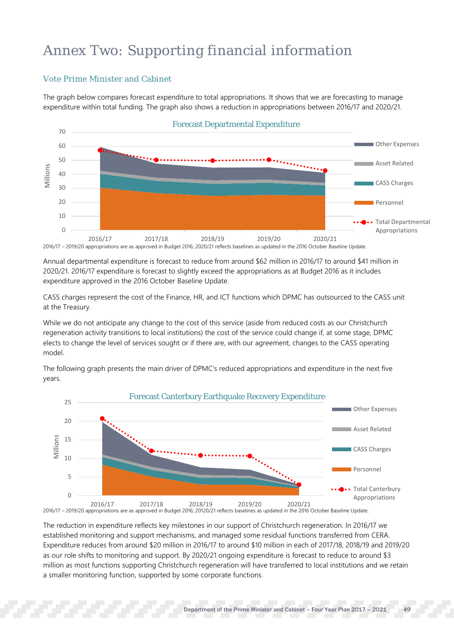## Annex Two: Supporting financial information

## Vote Prime Minister and Cabinet

The graph below compares forecast expenditure to total appropriations. It shows that we are forecasting to manage expenditure within total funding. The graph also shows a reduction in appropriations between 2016/17 and 2020/21.



2016/17 – 2019/20 appropriations are as approved in Budget 2016; 2020/21 reflects baselines as updated in the 2016 October Baseline Update.

Annual departmental expenditure is forecast to reduce from around \$62 million in 2016/17 to around \$41 million in 2020/21. 2016/17 expenditure is forecast to slightly exceed the appropriations as at Budget 2016 as it includes expenditure approved in the 2016 October Baseline Update.

CASS charges represent the cost of the Finance, HR, and ICT functions which DPMC has outsourced to the CASS unit at the Treasury.

While we do not anticipate any change to the cost of this service (aside from reduced costs as our Christchurch regeneration activity transitions to local institutions) the cost of the service could change if, at some stage, DPMC elects to change the level of services sought or if there are, with our agreement, changes to the CASS operating model.

The following graph presents the main driver of DPMC's reduced appropriations and expenditure in the next five years.



2016/17 – 2019/20 appropriations are as approved in Budget 2016; 20120/21 reflects baselines as updated in the 2016 October Baseline Update. 2016/17 2017/18 2018/19 2019/20 2020/21

The reduction in expenditure reflects key milestones in our support of Christchurch regeneration. In 2016/17 we established monitoring and support mechanisms, and managed some residual functions transferred from CERA. Expenditure reduces from around \$20 million in 2016/17 to around \$10 million in each of 2017/18, 2018/19 and 2019/20 as our role shifts to monitoring and support. By 2020/21 ongoing expenditure is forecast to reduce to around \$3 million as most functions supporting Christchurch regeneration will have transferred to local institutions and we retain a smaller monitoring function, supported by some corporate functions.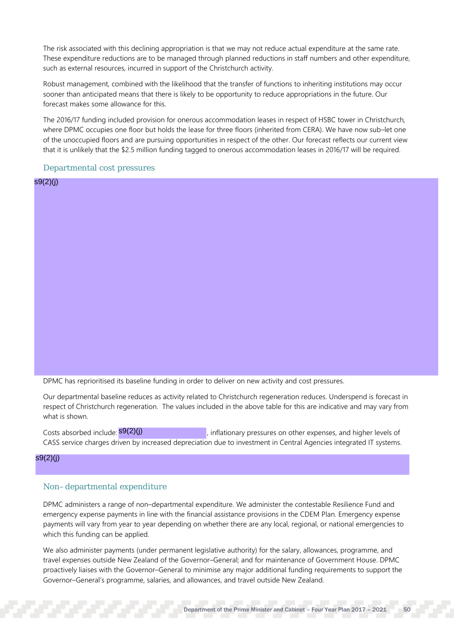The risk associated with this declining appropriation is that we may not reduce actual expenditure at the same rate. These expenditure reductions are to be managed through planned reductions in staff numbers and other expenditure, such as external resources, incurred in support of the Christchurch activity.

Robust management, combined with the likelihood that the transfer of functions to inheriting institutions may occur sooner than anticipated means that there is likely to be opportunity to reduce appropriations in the future. Our forecast makes some allowance for this.

The 2016/17 funding included provision for onerous accommodation leases in respect of HSBC tower in Christchurch, where DPMC occupies one floor but holds the lease for three floors (inherited from CERA). We have now sub–let one of the unoccupied floors and are pursuing opportunities in respect of the other. Our forecast reflects our current view that it is unlikely that the \$2.5 million funding tagged to onerous accommodation leases in 2016/17 will be required.

## Departmental cost pressures

s9(2)(j)

DPMC has reprioritised its baseline funding in order to deliver on new activity and cost pressures.

Our departmental baseline reduces as activity related to Christchurch regeneration reduces. Underspend is forecast in respect of Christchurch regeneration. The values included in the above table for this are indicative and may vary from what is shown.

, inflationary pressures on other expenses, and higher levels of CASS service charges driven by increased depreciation due to investment in Central Agencies integrated IT systems. Costs absorbed include:  $\mathsf{S9}(2)(j)$ 

s9(2)(j)

## Non–departmental expenditure

DPMC administers a range of non–departmental expenditure. We administer the contestable Resilience Fund and emergency expense payments in line with the financial assistance provisions in the CDEM Plan. Emergency expense payments will vary from year to year depending on whether there are any local, regional, or national emergencies to which this funding can be applied.

We also administer payments (under permanent legislative authority) for the salary, allowances, programme, and travel expenses outside New Zealand of the Governor–General; and for maintenance of Government House. DPMC proactively liaises with the Governor–General to minimise any major additional funding requirements to support the Governor–General's programme, salaries, and allowances, and travel outside New Zealand.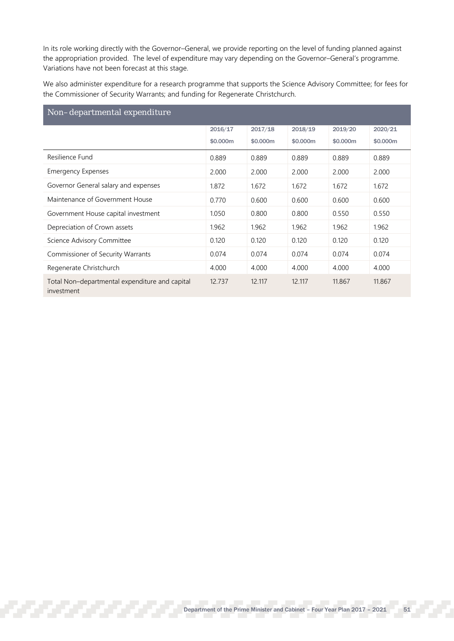In its role working directly with the Governor–General, we provide reporting on the level of funding planned against the appropriation provided. The level of expenditure may vary depending on the Governor–General's programme. Variations have not been forecast at this stage.

We also administer expenditure for a research programme that supports the Science Advisory Committee; for fees for the Commissioner of Security Warrants; and funding for Regenerate Christchurch.

| Non-departmental expenditure                                 |          |          |          |          |          |
|--------------------------------------------------------------|----------|----------|----------|----------|----------|
|                                                              | 2016/17  | 2017/18  | 2018/19  | 2019/20  | 2020/21  |
|                                                              | \$0,000m | \$0,000m | \$0,000m | \$0,000m | \$0,000m |
| Resilience Fund                                              | 0.889    | 0.889    | 0.889    | 0.889    | 0.889    |
| <b>Emergency Expenses</b>                                    | 2.000    | 2.000    | 2.000    | 2.000    | 2.000    |
| Governor General salary and expenses                         | 1.872    | 1.672    | 1.672    | 1.672    | 1.672    |
| Maintenance of Government House                              | 0.770    | 0.600    | 0.600    | 0.600    | 0.600    |
| Government House capital investment                          | 1.050    | 0.800    | 0.800    | 0.550    | 0.550    |
| Depreciation of Crown assets                                 | 1.962    | 1.962    | 1.962    | 1.962    | 1.962    |
| Science Advisory Committee                                   | 0.120    | 0.120    | 0.120    | 0.120    | 0.120    |
| Commissioner of Security Warrants                            | 0.074    | 0.074    | 0.074    | 0.074    | 0.074    |
| Regenerate Christchurch                                      | 4.000    | 4.000    | 4.000    | 4.000    | 4.000    |
| Total Non-departmental expenditure and capital<br>investment | 12.737   | 12.117   | 12.117   | 11.867   | 11.867   |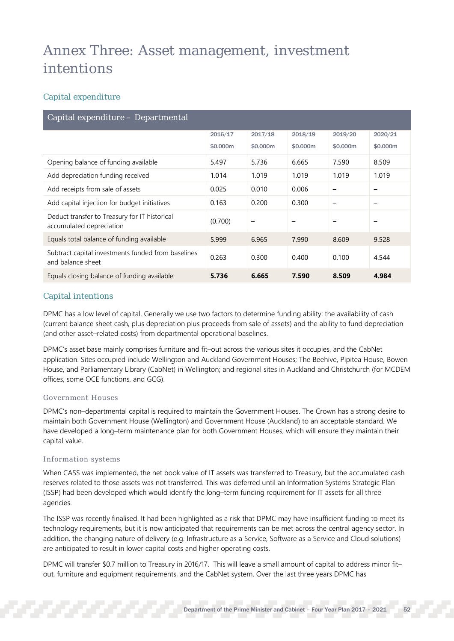## Annex Three: Asset management, investment intentions

## Capital expenditure

| Capital expenditure - Departmental                                        |          |          |          |          |          |
|---------------------------------------------------------------------------|----------|----------|----------|----------|----------|
|                                                                           | 2016/17  | 2017/18  | 2018/19  | 2019/20  | 2020/21  |
|                                                                           | \$0,000m | \$0,000m | \$0,000m | \$0,000m | \$0,000m |
| Opening balance of funding available                                      | 5.497    | 5.736    | 6.665    | 7.590    | 8.509    |
| Add depreciation funding received                                         | 1.014    | 1.019    | 1.019    | 1.019    | 1.019    |
| Add receipts from sale of assets                                          | 0.025    | 0.010    | 0.006    |          |          |
| Add capital injection for budget initiatives                              | 0.163    | 0.200    | 0.300    |          |          |
| Deduct transfer to Treasury for IT historical<br>accumulated depreciation | (0.700)  |          |          |          |          |
| Equals total balance of funding available                                 | 5.999    | 6.965    | 7.990    | 8.609    | 9.528    |
| Subtract capital investments funded from baselines<br>and balance sheet   | 0.263    | 0.300    | 0.400    | 0.100    | 4.544    |
| Equals closing balance of funding available                               | 5.736    | 6.665    | 7.590    | 8.509    | 4.984    |

## Capital intentions

DPMC has a low level of capital. Generally we use two factors to determine funding ability: the availability of cash (current balance sheet cash, plus depreciation plus proceeds from sale of assets) and the ability to fund depreciation (and other asset–related costs) from departmental operational baselines.

DPMC's asset base mainly comprises furniture and fit–out across the various sites it occupies, and the CabNet application. Sites occupied include Wellington and Auckland Government Houses; The Beehive, Pipitea House, Bowen House, and Parliamentary Library (CabNet) in Wellington; and regional sites in Auckland and Christchurch (for MCDEM offices, some OCE functions, and GCG).

## Government Houses

DPMC's non–departmental capital is required to maintain the Government Houses. The Crown has a strong desire to maintain both Government House (Wellington) and Government House (Auckland) to an acceptable standard. We have developed a long–term maintenance plan for both Government Houses, which will ensure they maintain their capital value.

## Information systems

When CASS was implemented, the net book value of IT assets was transferred to Treasury, but the accumulated cash reserves related to those assets was not transferred. This was deferred until an Information Systems Strategic Plan (ISSP) had been developed which would identify the long–term funding requirement for IT assets for all three agencies.

The ISSP was recently finalised. It had been highlighted as a risk that DPMC may have insufficient funding to meet its technology requirements, but it is now anticipated that requirements can be met across the central agency sector. In addition, the changing nature of delivery (e.g. Infrastructure as a Service, Software as a Service and Cloud solutions) are anticipated to result in lower capital costs and higher operating costs.

DPMC will transfer \$0.7 million to Treasury in 2016/17. This will leave a small amount of capital to address minor fit– out, furniture and equipment requirements, and the CabNet system. Over the last three years DPMC has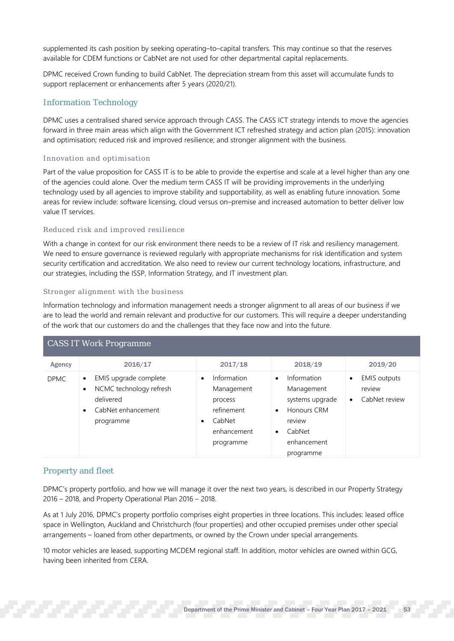supplemented its cash position by seeking operating–to–capital transfers. This may continue so that the reserves available for CDEM functions or CabNet are not used for other departmental capital replacements.

DPMC received Crown funding to build CabNet. The depreciation stream from this asset will accumulate funds to support replacement or enhancements after 5 years (2020/21).

## Information Technology

DPMC uses a centralised shared service approach through CASS. The CASS ICT strategy intends to move the agencies forward in three main areas which align with the Government ICT refreshed strategy and action plan (2015): innovation and optimisation; reduced risk and improved resilience; and stronger alignment with the business.

## Innovation and optimisation

Part of the value proposition for CASS IT is to be able to provide the expertise and scale at a level higher than any one of the agencies could alone. Over the medium term CASS IT will be providing improvements in the underlying technology used by all agencies to improve stability and supportability, as well as enabling future innovation. Some areas for review include: software licensing, cloud versus on–premise and increased automation to better deliver low value IT services.

## Reduced risk and improved resilience

With a change in context for our risk environment there needs to be a review of IT risk and resiliency management. We need to ensure governance is reviewed regularly with appropriate mechanisms for risk identification and system security certification and accreditation. We also need to review our current technology locations, infrastructure, and our strategies, including the ISSP, Information Strategy, and IT investment plan.

## Stronger alignment with the business

Information technology and information management needs a stronger alignment to all areas of our business if we are to lead the world and remain relevant and productive for our customers. This will require a deeper understanding of the work that our customers do and the challenges that they face now and into the future.

| <b>CASS IT Work Programme</b> |                                                                                                               |                                                                                                                    |                                                                                                                                            |                                                                          |  |  |
|-------------------------------|---------------------------------------------------------------------------------------------------------------|--------------------------------------------------------------------------------------------------------------------|--------------------------------------------------------------------------------------------------------------------------------------------|--------------------------------------------------------------------------|--|--|
| Agency                        | 2016/17                                                                                                       | 2017/18                                                                                                            | 2018/19                                                                                                                                    | 2019/20                                                                  |  |  |
| <b>DPMC</b>                   | EMIS upgrade complete<br>$\bullet$<br>NCMC technology refresh<br>delivered<br>CabNet enhancement<br>programme | Information<br>$\bullet$<br>Management<br>process<br>refinement<br>CabNet<br>$\bullet$<br>enhancement<br>programme | Information<br>$\bullet$<br>Management<br>systems upgrade<br>Honours CRM<br>$\bullet$<br>review<br>CabNet<br>٠<br>enhancement<br>programme | <b>EMIS</b> outputs<br>$\bullet$<br>review<br>CabNet review<br>$\bullet$ |  |  |

## Property and fleet

DPMC's property portfolio, and how we will manage it over the next two years, is described in our Property Strategy 2016 – 2018, and Property Operational Plan 2016 – 2018.

As at 1 July 2016, DPMC's property portfolio comprises eight properties in three locations. This includes: leased office space in Wellington, Auckland and Christchurch (four properties) and other occupied premises under other special arrangements – loaned from other departments, or owned by the Crown under special arrangements.

10 motor vehicles are leased, supporting MCDEM regional staff. In addition, motor vehicles are owned within GCG, having been inherited from CERA.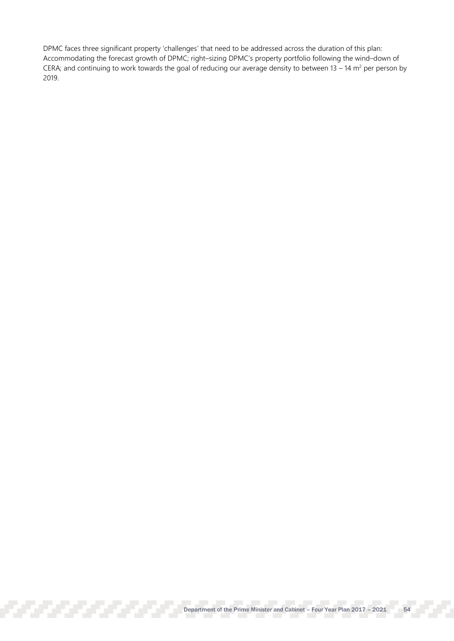DPMC faces three significant property 'challenges' that need to be addressed across the duration of this plan: Accommodating the forecast growth of DPMC; right–sizing DPMC's property portfolio following the wind–down of CERA; and continuing to work towards the goal of reducing our average density to between 13 – 14  $m^2$  per person by 2019.